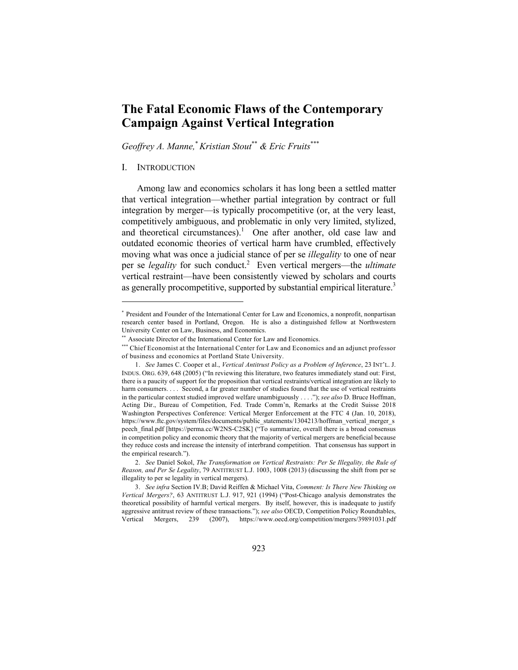# **The Fatal Economic Flaws of the Contemporary Campaign Against Vertical Integration**

*Geoffrey A. Manne,*\**Kristian Stout*\*\* *& Eric Fruits*\*\*\*

## I. INTRODUCTION

Among law and economics scholars it has long been a settled matter that vertical integration—whether partial integration by contract or full integration by merger—is typically procompetitive (or, at the very least, competitively ambiguous, and problematic in only very limited, stylized, and theoretical circumstances).<sup>1</sup> One after another, old case law and outdated economic theories of vertical harm have crumbled, effectively moving what was once a judicial stance of per se *illegality* to one of near per se *legality* for such conduct.<sup>2</sup> Even vertical mergers—the *ultimate* vertical restraint—have been consistently viewed by scholars and courts as generally procompetitive, supported by substantial empirical literature.<sup>3</sup>

<sup>\*</sup> President and Founder of the International Center for Law and Economics, a nonprofit, nonpartisan research center based in Portland, Oregon. He is also a distinguished fellow at Northwestern University Center on Law, Business, and Economics.

<sup>\*\*</sup> Associate Director of the International Center for Law and Economics.

<sup>\*\*\*</sup> Chief Economist at the International Center for Law and Economics and an adjunct professor of business and economics at Portland State University.

<sup>1.</sup> *See* James C. Cooper et al., *Vertical Antitrust Policy as a Problem of Inference*, 23 INT'L. J. INDUS. ORG. 639, 648 (2005) ("In reviewing this literature, two features immediately stand out: First, there is a paucity of support for the proposition that vertical restraints/vertical integration are likely to harm consumers. . . . Second, a far greater number of studies found that the use of vertical restraints in the particular context studied improved welfare unambiguously . . . ."); *see also* D. Bruce Hoffman, Acting Dir., Bureau of Competition, Fed. Trade Comm'n, Remarks at the Credit Suisse 2018 Washington Perspectives Conference: Vertical Merger Enforcement at the FTC 4 (Jan. 10, 2018), https://www.ftc.gov/system/files/documents/public\_statements/1304213/hoffman\_vertical\_merger\_s peech\_final.pdf [https://perma.cc/W2NS-C2SK] ("To summarize, overall there is a broad consensus in competition policy and economic theory that the majority of vertical mergers are beneficial because they reduce costs and increase the intensity of interbrand competition. That consensus has support in the empirical research.").

<sup>2.</sup> *See* Daniel Sokol, *The Transformation on Vertical Restraints: Per Se Illegality, the Rule of Reason, and Per Se Legality*, 79 ANTITRUST L.J. 1003, 1008 (2013) (discussing the shift from per se illegality to per se legality in vertical mergers).

<sup>3.</sup> *See infra* Section IV.B; David Reiffen & Michael Vita, *Comment: Is There New Thinking on Vertical Mergers?*, 63 ANTITRUST L.J. 917, 921 (1994) ("Post-Chicago analysis demonstrates the theoretical possibility of harmful vertical mergers. By itself, however, this is inadequate to justify aggressive antitrust review of these transactions."); *see also* OECD, Competition Policy Roundtables, Vertical Mergers, 239 (2007), https://www.oecd.org/competition/mergers/39891031.pdf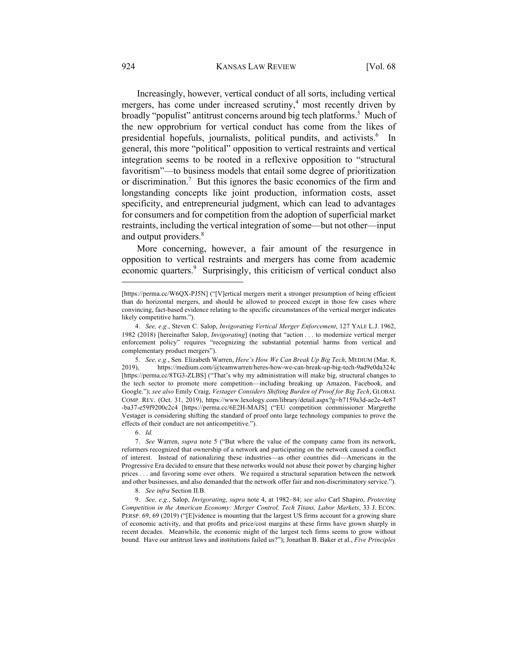#### 924 KANSAS LAW REVIEW [Vol. 68]

Increasingly, however, vertical conduct of all sorts, including vertical mergers, has come under increased scrutiny, $4 \text{ most recently driven by}$ broadly "populist" antitrust concerns around big tech platforms.<sup>5</sup> Much of the new opprobrium for vertical conduct has come from the likes of presidential hopefuls, journalists, political pundits, and activists.<sup>6</sup> In general, this more "political" opposition to vertical restraints and vertical integration seems to be rooted in a reflexive opposition to "structural favoritism"—to business models that entail some degree of prioritization or discrimination.<sup>7</sup> But this ignores the basic economics of the firm and longstanding concepts like joint production, information costs, asset specificity, and entrepreneurial judgment, which can lead to advantages for consumers and for competition from the adoption of superficial market restraints, including the vertical integration of some—but not other—input and output providers.<sup>8</sup>

More concerning, however, a fair amount of the resurgence in opposition to vertical restraints and mergers has come from academic economic quarters.<sup>9</sup> Surprisingly, this criticism of vertical conduct also

<sup>[</sup>https://perma.cc/W6QX-PJ5N] ("[V]ertical mergers merit a stronger presumption of being efficient than do horizontal mergers, and should be allowed to proceed except in those few cases where convincing, fact-based evidence relating to the specific circumstances of the vertical merger indicates likely competitive harm.").

<sup>4.</sup> *See, e.g.*, Steven C. Salop, *Invigorating Vertical Merger Enforcement*, 127 YALE L.J. 1962, 1982 (2018) [hereinafter Salop, *Invigorating*] (noting that "action . . . to modernize vertical merger enforcement policy" requires "recognizing the substantial potential harms from vertical and complementary product mergers").

<sup>5.</sup> *See, e.g.*, Sen. Elizabeth Warren, *Here's How We Can Break Up Big Tech*, MEDIUM (Mar. 8, 2019), https://medium.com/@teamwarren/heres-how-we-can-break-up-big-tech-9ad9e0da324c [https://perma.cc/8TG3-ZLBS] ("That's why my administration will make big, structural changes to the tech sector to promote more competition—including breaking up Amazon, Facebook, and Google."); *see also* Emily Craig, *Vestager Considers Shifting Burden of Proof for Big Tech*, GLOBAL COMP. REV. (Oct. 31, 2019), https://www.lexology.com/library/detail.aspx?g=b7159a3d-ae2e-4e87 -ba37-e59f9200c2c4 [https://perma.cc/6E2H-MAJS] ("EU competition commissioner Margrethe Vestager is considering shifting the standard of proof onto large technology companies to prove the effects of their conduct are not anticompetitive.").

<sup>6.</sup> *Id.*

<sup>7.</sup> *See* Warren, *supra* note 5 ("But where the value of the company came from its network, reformers recognized that ownership of a network and participating on the network caused a conflict of interest. Instead of nationalizing these industries—as other countries did—Americans in the Progressive Era decided to ensure that these networks would not abuse their power by charging higher prices . . . and favoring some over others. We required a structural separation between the network and other businesses, and also demanded that the network offer fair and non-discriminatory service.").

<sup>8.</sup> *See infra* Section II.B.

<sup>9.</sup> *See, e.g.*, Salop, *Invigorating*, *supra* note 4, at 1982-84; *see also* Carl Shapiro, *Protecting Competition in the American Economy: Merger Control, Tech Titans, Labor Markets*, 33 J. ECON. PERSP. 69, 69 (2019) ("[E]vidence is mounting that the largest US firms account for a growing share of economic activity, and that profits and price/cost margins at these firms have grown sharply in recent decades. Meanwhile, the economic might of the largest tech firms seems to grow without bound. Have our antitrust laws and institutions failed us?"); Jonathan B. Baker et al., *Five Principles*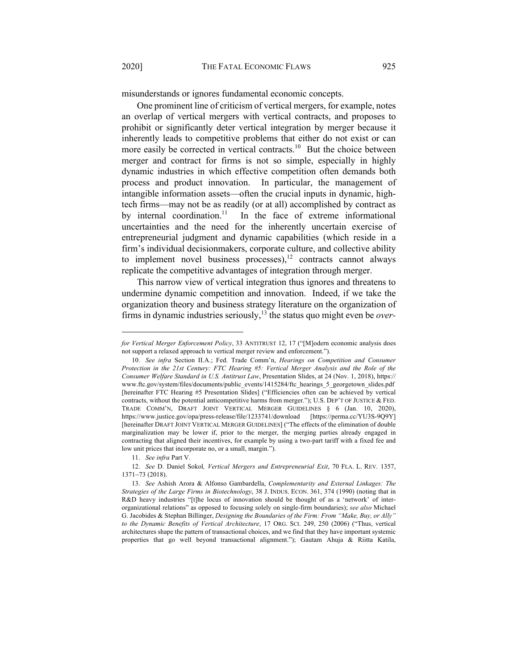misunderstands or ignores fundamental economic concepts.

One prominent line of criticism of vertical mergers, for example, notes an overlap of vertical mergers with vertical contracts, and proposes to prohibit or significantly deter vertical integration by merger because it inherently leads to competitive problems that either do not exist or can more easily be corrected in vertical contracts.<sup>10</sup> But the choice between merger and contract for firms is not so simple, especially in highly dynamic industries in which effective competition often demands both process and product innovation. In particular, the management of intangible information assets—often the crucial inputs in dynamic, hightech firms—may not be as readily (or at all) accomplished by contract as by internal coordination.<sup>11</sup> In the face of extreme informational uncertainties and the need for the inherently uncertain exercise of entrepreneurial judgment and dynamic capabilities (which reside in a firm's individual decisionmakers, corporate culture, and collective ability to implement novel business processes), $12$  contracts cannot always replicate the competitive advantages of integration through merger.

This narrow view of vertical integration thus ignores and threatens to undermine dynamic competition and innovation. Indeed, if we take the organization theory and business strategy literature on the organization of firms in dynamic industries seriously,<sup>13</sup> the status quo might even be *over*-

*for Vertical Merger Enforcement Policy*, 33 ANTITRUST 12, 17 ("[M]odern economic analysis does not support a relaxed approach to vertical merger review and enforcement.").

<sup>10.</sup> *See infra* Section II.A.; Fed. Trade Comm'n, *Hearings on Competition and Consumer Protection in the 21st Century: FTC Hearing #5: Vertical Merger Analysis and the Role of the Consumer Welfare Standard in U.S. Antitrust Law*, Presentation Slides, at 24 (Nov. 1, 2018), https:// www.ftc.gov/system/files/documents/public\_events/1415284/ftc\_hearings\_5\_georgetown\_slides.pdf [hereinafter FTC Hearing #5 Presentation Slides] ("Efficiencies often can be achieved by vertical contracts, without the potential anticompetitive harms from merger."); U.S. DEP'T OF JUSTICE & FED. TRADE COMM'N, DRAFT JOINT VERTICAL MERGER GUIDELINES § 6 (Jan. 10, 2020), https://www.justice.gov/opa/press-release/file/1233741/download [https://perma.cc/YU3S-9Q9Y] [hereinafter DRAFT JOINT VERTICAL MERGER GUIDELINES] ("The effects of the elimination of double marginalization may be lower if, prior to the merger, the merging parties already engaged in contracting that aligned their incentives, for example by using a two-part tariff with a fixed fee and low unit prices that incorporate no, or a small, margin.").

<sup>11.</sup> *See infra* Part V.

<sup>12.</sup> *See* D. Daniel Sokol*, Vertical Mergers and Entrepreneurial Exit*, 70 FLA. L. REV. 1357, 1371-73 (2018).

<sup>13.</sup> *See* Ashish Arora & Alfonso Gambardella, *Complementarity and External Linkages: The Strategies of the Large Firms in Biotechnology*, 38 J. INDUS. ECON. 361, 374 (1990) (noting that in R&D heavy industries "[t]he locus of innovation should be thought of as a 'network' of interorganizational relations" as opposed to focusing solely on single-firm boundaries); *see also* Michael G. Jacobides & Stephan Billinger, *Designing the Boundaries of the Firm: From "Make, Buy, or Ally" to the Dynamic Benefits of Vertical Architecture*, 17 ORG. SCI. 249, 250 (2006) ("Thus, vertical architectures shape the pattern of transactional choices, and we find that they have important systemic properties that go well beyond transactional alignment."); Gautam Ahuja & Riitta Katila,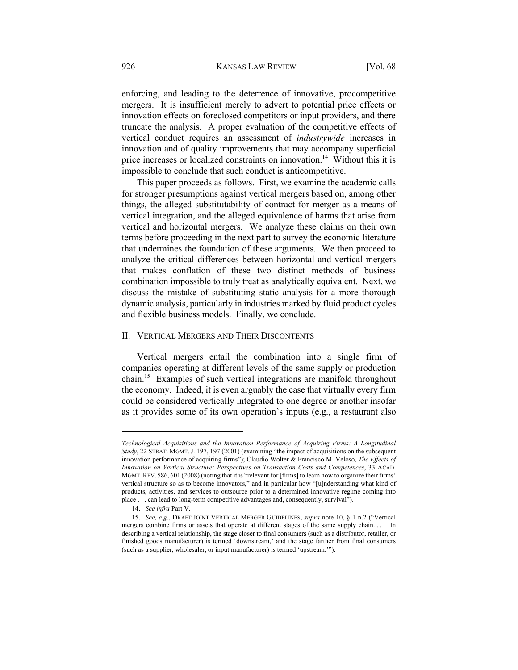enforcing, and leading to the deterrence of innovative, procompetitive mergers. It is insufficient merely to advert to potential price effects or innovation effects on foreclosed competitors or input providers, and there truncate the analysis. A proper evaluation of the competitive effects of vertical conduct requires an assessment of *industrywide* increases in innovation and of quality improvements that may accompany superficial price increases or localized constraints on innovation.<sup>14</sup> Without this it is impossible to conclude that such conduct is anticompetitive.

This paper proceeds as follows. First, we examine the academic calls for stronger presumptions against vertical mergers based on, among other things, the alleged substitutability of contract for merger as a means of vertical integration, and the alleged equivalence of harms that arise from vertical and horizontal mergers. We analyze these claims on their own terms before proceeding in the next part to survey the economic literature that undermines the foundation of these arguments. We then proceed to analyze the critical differences between horizontal and vertical mergers that makes conflation of these two distinct methods of business combination impossible to truly treat as analytically equivalent. Next, we discuss the mistake of substituting static analysis for a more thorough dynamic analysis, particularly in industries marked by fluid product cycles and flexible business models. Finally, we conclude.

#### II. VERTICAL MERGERS AND THEIR DISCONTENTS

Vertical mergers entail the combination into a single firm of companies operating at different levels of the same supply or production chain.15 Examples of such vertical integrations are manifold throughout the economy. Indeed, it is even arguably the case that virtually every firm could be considered vertically integrated to one degree or another insofar as it provides some of its own operation's inputs (e.g., a restaurant also

*Technological Acquisitions and the Innovation Performance of Acquiring Firms: A Longitudinal Study*, 22 STRAT. MGMT.J. 197, 197 (2001) (examining "the impact of acquisitions on the subsequent innovation performance of acquiring firms"); Claudio Wolter & Francisco M. Veloso, *The Effects of Innovation on Vertical Structure: Perspectives on Transaction Costs and Competences*, 33 ACAD. MGMT.REV. 586, 601 (2008) (noting that it is "relevant for [firms] to learn how to organize their firms' vertical structure so as to become innovators," and in particular how "[u]nderstanding what kind of products, activities, and services to outsource prior to a determined innovative regime coming into place . . . can lead to long-term competitive advantages and, consequently, survival").

<sup>14.</sup> *See infra* Part V.

<sup>15.</sup> *See, e.g*., DRAFT JOINT VERTICAL MERGER GUIDELINES, *supra* note 10, § 1 n.2 ("Vertical mergers combine firms or assets that operate at different stages of the same supply chain. . . . In describing a vertical relationship, the stage closer to final consumers (such as a distributor, retailer, or finished goods manufacturer) is termed 'downstream,' and the stage farther from final consumers (such as a supplier, wholesaler, or input manufacturer) is termed 'upstream.'").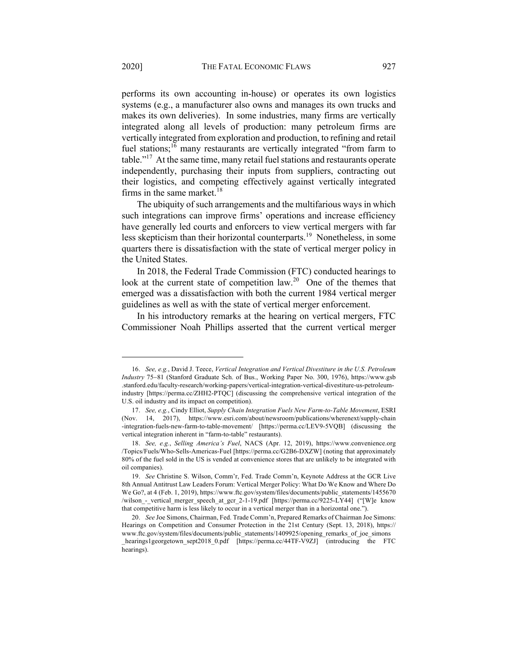performs its own accounting in-house) or operates its own logistics systems (e.g., a manufacturer also owns and manages its own trucks and makes its own deliveries). In some industries, many firms are vertically integrated along all levels of production: many petroleum firms are vertically integrated from exploration and production, to refining and retail fuel stations;<sup>16</sup> many restaurants are vertically integrated "from farm to table."17 At the same time, many retail fuel stations and restaurants operate independently, purchasing their inputs from suppliers, contracting out their logistics, and competing effectively against vertically integrated firms in the same market. $18$ 

The ubiquity of such arrangements and the multifarious ways in which such integrations can improve firms' operations and increase efficiency have generally led courts and enforcers to view vertical mergers with far less skepticism than their horizontal counterparts.19 Nonetheless, in some quarters there is dissatisfaction with the state of vertical merger policy in the United States.

In 2018, the Federal Trade Commission (FTC) conducted hearings to look at the current state of competition law.<sup>20</sup> One of the themes that emerged was a dissatisfaction with both the current 1984 vertical merger guidelines as well as with the state of vertical merger enforcement.

In his introductory remarks at the hearing on vertical mergers, FTC Commissioner Noah Phillips asserted that the current vertical merger

<sup>16.</sup> *See, e.g.*, David J. Teece, *Vertical Integration and Vertical Divestiture in the U.S. Petroleum Industry* 75-81 (Stanford Graduate Sch. of Bus., Working Paper No. 300, 1976), https://www.gsb .stanford.edu/faculty-research/working-papers/vertical-integration-vertical-divestiture-us-petroleumindustry [https://perma.cc/ZHH2-PTQC] (discussing the comprehensive vertical integration of the U.S. oil industry and its impact on competition).

<sup>17.</sup> *See, e.g.*, Cindy Elliot, *Supply Chain Integration Fuels New Farm-to-Table Movement*, ESRI (Nov. 14, 2017), https://www.esri.com/about/newsroom/publications/wherenext/supply-chain -integration-fuels-new-farm-to-table-movement/ [https://perma.cc/LEV9-5VQB] (discussing the vertical integration inherent in "farm-to-table" restaurants).

<sup>18.</sup> *See, e.g.*, *Selling America's Fuel*, NACS (Apr. 12, 2019), https://www.convenience.org /Topics/Fuels/Who-Sells-Americas-Fuel [https://perma.cc/G2B6-DXZW] (noting that approximately 80% of the fuel sold in the US is vended at convenience stores that are unlikely to be integrated with oil companies).

<sup>19.</sup> *See* Christine S. Wilson, Comm'r, Fed. Trade Comm'n, Keynote Address at the GCR Live 8th Annual Antitrust Law Leaders Forum: Vertical Merger Policy: What Do We Know and Where Do We Go?, at 4 (Feb. 1, 2019), https://www.ftc.gov/system/files/documents/public\_statements/1455670 /wilson - vertical merger speech at gcr\_2-1-19.pdf [https://perma.cc/9225-LY44] ("[W]e know that competitive harm is less likely to occur in a vertical merger than in a horizontal one.").

<sup>20.</sup> *See* Joe Simons, Chairman, Fed. Trade Comm'n, Prepared Remarks of Chairman Joe Simons: Hearings on Competition and Consumer Protection in the 21st Century (Sept. 13, 2018), https:// www.ftc.gov/system/files/documents/public\_statements/1409925/opening\_remarks\_of\_joe\_simons \_hearings1georgetown\_sept2018\_0.pdf [https://perma.cc/44TF-V9ZJ] (introducing the FTC hearings).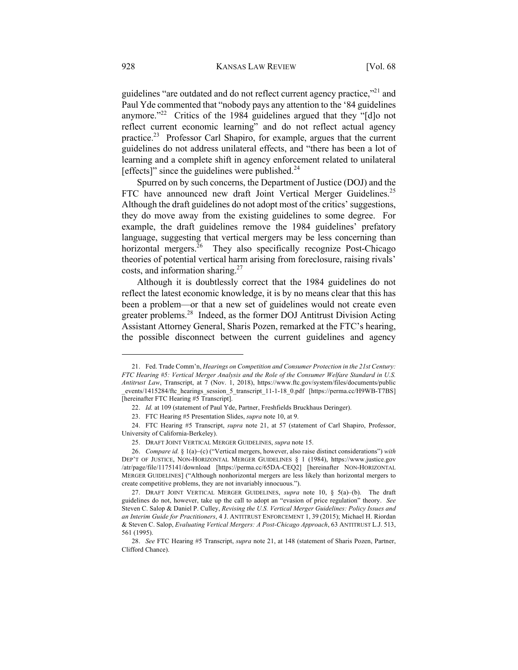guidelines "are outdated and do not reflect current agency practice,"<sup>21</sup> and Paul Yde commented that "nobody pays any attention to the '84 guidelines anymore."<sup>22</sup> Critics of the 1984 guidelines argued that they "[d]o not reflect current economic learning" and do not reflect actual agency practice.23 Professor Carl Shapiro, for example, argues that the current guidelines do not address unilateral effects, and "there has been a lot of learning and a complete shift in agency enforcement related to unilateral [effects]" since the guidelines were published. $^{24}$ 

Spurred on by such concerns, the Department of Justice (DOJ) and the FTC have announced new draft Joint Vertical Merger Guidelines.<sup>25</sup> Although the draft guidelines do not adopt most of the critics' suggestions, they do move away from the existing guidelines to some degree. For example, the draft guidelines remove the 1984 guidelines' prefatory language, suggesting that vertical mergers may be less concerning than horizontal mergers.<sup>26</sup> They also specifically recognize Post-Chicago theories of potential vertical harm arising from foreclosure, raising rivals' costs, and information sharing.27

Although it is doubtlessly correct that the 1984 guidelines do not reflect the latest economic knowledge, it is by no means clear that this has been a problem—or that a new set of guidelines would not create even greater problems.28 Indeed, as the former DOJ Antitrust Division Acting Assistant Attorney General, Sharis Pozen, remarked at the FTC's hearing, the possible disconnect between the current guidelines and agency

<sup>21.</sup> Fed. Trade Comm'n, *Hearings on Competition and Consumer Protection in the 21st Century: FTC Hearing #5: Vertical Merger Analysis and the Role of the Consumer Welfare Standard in U.S. Antitrust Law*, Transcript, at 7 (Nov. 1, 2018), https://www.ftc.gov/system/files/documents/public \_events/1415284/ftc\_hearings\_session\_5\_transcript\_11-1-18\_0.pdf [https://perma.cc/H9WB-T7BS] [hereinafter FTC Hearing #5 Transcript].

<sup>22.</sup> *Id.* at 109 (statement of Paul Yde, Partner, Freshfields Bruckhaus Deringer).

<sup>23.</sup> FTC Hearing #5 Presentation Slides, *supra* note 10, at 9.

<sup>24.</sup> FTC Hearing #5 Transcript, *supra* note 21, at 57 (statement of Carl Shapiro, Professor, University of California-Berkeley).

<sup>25.</sup> DRAFT JOINT VERTICAL MERGER GUIDELINES, *supra* note 15.

<sup>26.</sup> *Compare id.* § 1(a)-(c) ("Vertical mergers, however, also raise distinct considerations") *with* DEP'T OF JUSTICE, NON-HORIZONTAL MERGER GUIDELINES § 1 (1984), https://www.justice.gov /atr/page/file/1175141/download [https://perma.cc/65DA-CEQ2] [hereinafter NON-HORIZONTAL MERGER GUIDELINES] ("Although nonhorizontal mergers are less likely than horizontal mergers to create competitive problems, they are not invariably innocuous.").

<sup>27.</sup> DRAFT JOINT VERTICAL MERGER GUIDELINES, *supra* note 10, § 5(a)–(b). The draft guidelines do not, however, take up the call to adopt an "evasion of price regulation" theory. *See* Steven C. Salop & Daniel P. Culley, *Revising the U.S. Vertical Merger Guidelines: Policy Issues and an Interim Guide for Practitioners*, 4 J. ANTITRUST ENFORCEMENT 1, 39 (2015); Michael H. Riordan & Steven C. Salop, *Evaluating Vertical Mergers: A Post-Chicago Approach*, 63 ANTITRUST L.J. 513, 561 (1995).

<sup>28.</sup> *See* FTC Hearing #5 Transcript, *supra* note 21, at 148 (statement of Sharis Pozen, Partner, Clifford Chance).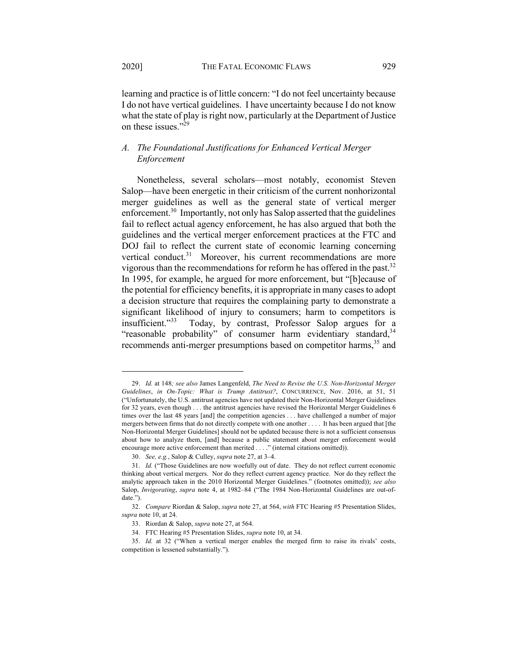learning and practice is of little concern: "I do not feel uncertainty because I do not have vertical guidelines. I have uncertainty because I do not know what the state of play is right now, particularly at the Department of Justice on these issues."<sup>29</sup>

# *A. The Foundational Justifications for Enhanced Vertical Merger Enforcement*

Nonetheless, several scholars—most notably, economist Steven Salop—have been energetic in their criticism of the current nonhorizontal merger guidelines as well as the general state of vertical merger enforcement.<sup>30</sup> Importantly, not only has Salop asserted that the guidelines fail to reflect actual agency enforcement, he has also argued that both the guidelines and the vertical merger enforcement practices at the FTC and DOJ fail to reflect the current state of economic learning concerning vertical conduct.<sup>31</sup> Moreover, his current recommendations are more vigorous than the recommendations for reform he has offered in the past.<sup>32</sup> In 1995, for example, he argued for more enforcement, but "[b]ecause of the potential for efficiency benefits, it is appropriate in many cases to adopt a decision structure that requires the complaining party to demonstrate a significant likelihood of injury to consumers; harm to competitors is insufficient."33 Today, by contrast, Professor Salop argues for a "reasonable probability" of consumer harm evidentiary standard,  $34$ recommends anti-merger presumptions based on competitor harms,<sup>35</sup> and

<sup>29.</sup> *Id.* at 148*; see also* James Langenfeld, *The Need to Revise the U.S. Non-Horizontal Merger Guidelines*, *in On-Topic: What is Trump Antitrust?*, CONCURRENCE, Nov. 2016, at 51, 51 ("Unfortunately, the U.S. antitrust agencies have not updated their Non-Horizontal Merger Guidelines for 32 years, even though . . . the antitrust agencies have revised the Horizontal Merger Guidelines 6 times over the last 48 years [and] the competition agencies . . . have challenged a number of major mergers between firms that do not directly compete with one another . . . . It has been argued that [the Non-Horizontal Merger Guidelines] should not be updated because there is not a sufficient consensus about how to analyze them, [and] because a public statement about merger enforcement would encourage more active enforcement than merited . . . ." (internal citations omitted)).

<sup>30.</sup> *See, e.g.*, Salop & Culley, *supra* note 27, at 3–4.

<sup>31.</sup> *Id.* ("Those Guidelines are now woefully out of date. They do not reflect current economic thinking about vertical mergers. Nor do they reflect current agency practice. Nor do they reflect the analytic approach taken in the 2010 Horizontal Merger Guidelines." (footnotes omitted)); *see also* Salop, *Invigorating*, *supra* note 4, at 1982–84 ("The 1984 Non-Horizontal Guidelines are out-ofdate.").

<sup>32.</sup> *Compare* Riordan & Salop, *supra* note 27, at 564, *with* FTC Hearing #5 Presentation Slides, *supra* note 10, at 24.

<sup>33.</sup> Riordan & Salop, *supra* note 27, at 564.

<sup>34.</sup> FTC Hearing #5 Presentation Slides, *supra* note 10, at 34.

<sup>35.</sup> *Id.* at 32 ("When a vertical merger enables the merged firm to raise its rivals' costs, competition is lessened substantially.").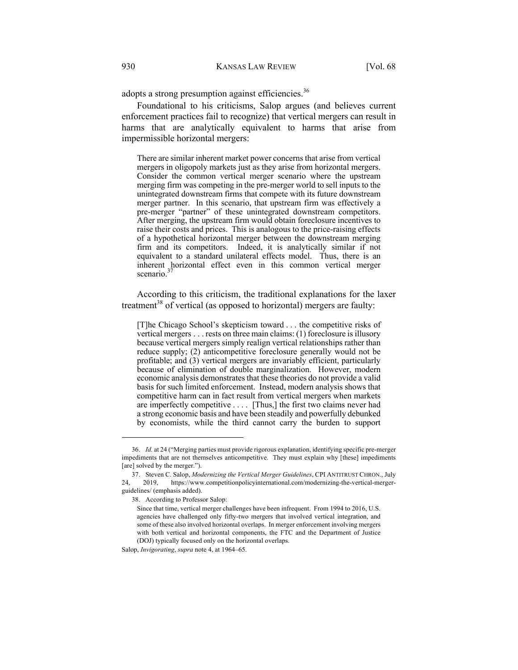adopts a strong presumption against efficiencies.<sup>36</sup>

Foundational to his criticisms, Salop argues (and believes current enforcement practices fail to recognize) that vertical mergers can result in harms that are analytically equivalent to harms that arise from impermissible horizontal mergers:

There are similar inherent market power concerns that arise from vertical mergers in oligopoly markets just as they arise from horizontal mergers. Consider the common vertical merger scenario where the upstream merging firm was competing in the pre-merger world to sell inputs to the unintegrated downstream firms that compete with its future downstream merger partner. In this scenario, that upstream firm was effectively a pre-merger "partner" of these unintegrated downstream competitors. After merging, the upstream firm would obtain foreclosure incentives to raise their costs and prices. This is analogous to the price-raising effects of a hypothetical horizontal merger between the downstream merging firm and its competitors. Indeed, it is analytically similar if not equivalent to a standard unilateral effects model. Thus, there is an inherent horizontal effect even in this common vertical merger scenario.<sup>3</sup>

According to this criticism, the traditional explanations for the laxer treatment<sup>38</sup> of vertical (as opposed to horizontal) mergers are faulty:

[T]he Chicago School's skepticism toward . . . the competitive risks of vertical mergers . . . rests on three main claims: (1) foreclosure is illusory because vertical mergers simply realign vertical relationships rather than reduce supply; (2) anticompetitive foreclosure generally would not be profitable; and (3) vertical mergers are invariably efficient, particularly because of elimination of double marginalization. However, modern economic analysis demonstrates that these theories do not provide a valid basis for such limited enforcement. Instead, modern analysis shows that competitive harm can in fact result from vertical mergers when markets are imperfectly competitive . . . . [Thus,] the first two claims never had a strong economic basis and have been steadily and powerfully debunked by economists, while the third cannot carry the burden to support

<sup>36.</sup> *Id.* at 24 ("Merging parties must provide rigorous explanation, identifying specific pre-merger impediments that are not themselves anticompetitive. They must explain why [these] impediments [are] solved by the merger.").

<sup>37.</sup> Steven C. Salop, *Modernizing the Vertical Merger Guidelines*, CPI ANTITRUST CHRON., July 24, 2019, https://www.competitionpolicyinternational.com/modernizing-the-vertical-mergerguidelines/ (emphasis added).

<sup>38.</sup> According to Professor Salop:

Since that time, vertical merger challenges have been infrequent. From 1994 to 2016, U.S. agencies have challenged only fifty-two mergers that involved vertical integration, and some of these also involved horizontal overlaps. In merger enforcement involving mergers with both vertical and horizontal components, the FTC and the Department of Justice (DOJ) typically focused only on the horizontal overlaps.

Salop, *Invigorating*, *supra* note 4, at 1964–65.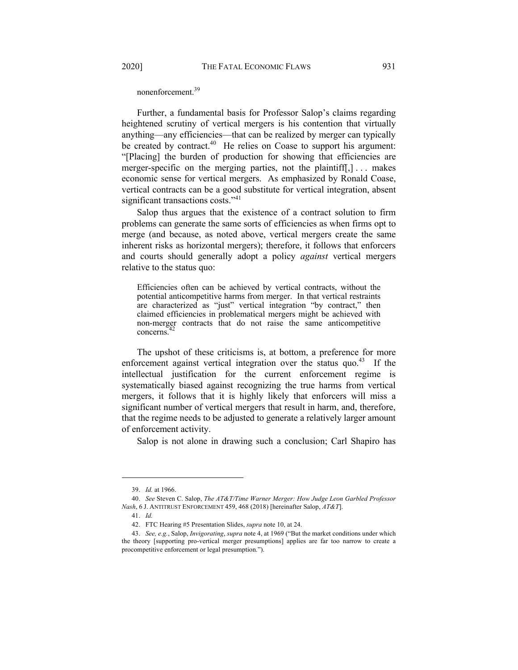nonenforcement.39

Further, a fundamental basis for Professor Salop's claims regarding heightened scrutiny of vertical mergers is his contention that virtually anything—any efficiencies—that can be realized by merger can typically be created by contract.<sup>40</sup> He relies on Coase to support his argument: "[Placing] the burden of production for showing that efficiencies are merger-specific on the merging parties, not the plaintiff[,]... makes economic sense for vertical mergers. As emphasized by Ronald Coase, vertical contracts can be a good substitute for vertical integration, absent significant transactions costs."41

Salop thus argues that the existence of a contract solution to firm problems can generate the same sorts of efficiencies as when firms opt to merge (and because, as noted above, vertical mergers create the same inherent risks as horizontal mergers); therefore, it follows that enforcers and courts should generally adopt a policy *against* vertical mergers relative to the status quo:

Efficiencies often can be achieved by vertical contracts, without the potential anticompetitive harms from merger. In that vertical restraints are characterized as "just" vertical integration "by contract," then claimed efficiencies in problematical mergers might be achieved with non-merger contracts that do not raise the same anticompetitive concerns.

The upshot of these criticisms is, at bottom, a preference for more enforcement against vertical integration over the status quo.<sup>43</sup> If the intellectual justification for the current enforcement regime is systematically biased against recognizing the true harms from vertical mergers, it follows that it is highly likely that enforcers will miss a significant number of vertical mergers that result in harm, and, therefore, that the regime needs to be adjusted to generate a relatively larger amount of enforcement activity.

Salop is not alone in drawing such a conclusion; Carl Shapiro has

<sup>39.</sup> *Id.* at 1966.

<sup>40.</sup> *See* Steven C. Salop, *The AT&T/Time Warner Merger: How Judge Leon Garbled Professor Nash*, 6 J. ANTITRUST ENFORCEMENT 459, 468 (2018) [hereinafter Salop, *AT&T*].

<sup>41.</sup> *Id.*

<sup>42.</sup> FTC Hearing #5 Presentation Slides, *supra* note 10, at 24.

<sup>43.</sup> *See, e.g.*, Salop, *Invigorating*, *supra* note 4, at 1969 ("But the market conditions under which the theory [supporting pro-vertical merger presumptions] applies are far too narrow to create a procompetitive enforcement or legal presumption.").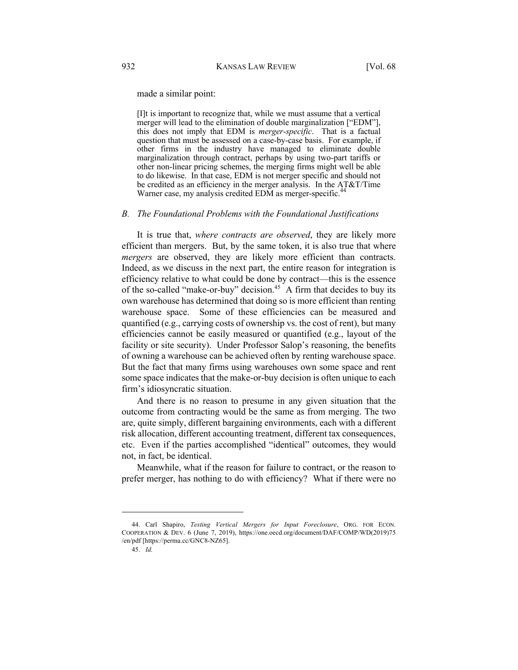made a similar point:

[I]t is important to recognize that, while we must assume that a vertical merger will lead to the elimination of double marginalization ["EDM"], this does not imply that EDM is *merger-specific*. That is a factual question that must be assessed on a case-by-case basis. For example, if other firms in the industry have managed to eliminate double marginalization through contract, perhaps by using two-part tariffs or other non-linear pricing schemes, the merging firms might well be able to do likewise. In that case, EDM is not merger specific and should not be credited as an efficiency in the merger analysis. In the AT&T/Time Warner case, my analysis credited EDM as merger-specific.<sup>4</sup>

#### *B. The Foundational Problems with the Foundational Justifications*

It is true that, *where contracts are observed*, they are likely more efficient than mergers. But, by the same token, it is also true that where *mergers* are observed, they are likely more efficient than contracts. Indeed, as we discuss in the next part, the entire reason for integration is efficiency relative to what could be done by contract—this is the essence of the so-called "make-or-buy" decision.<sup>45</sup> A firm that decides to buy its own warehouse has determined that doing so is more efficient than renting warehouse space. Some of these efficiencies can be measured and quantified (e.g., carrying costs of ownership vs. the cost of rent), but many efficiencies cannot be easily measured or quantified (e.g., layout of the facility or site security). Under Professor Salop's reasoning, the benefits of owning a warehouse can be achieved often by renting warehouse space. But the fact that many firms using warehouses own some space and rent some space indicates that the make-or-buy decision is often unique to each firm's idiosyncratic situation.

And there is no reason to presume in any given situation that the outcome from contracting would be the same as from merging. The two are, quite simply, different bargaining environments, each with a different risk allocation, different accounting treatment, different tax consequences, etc. Even if the parties accomplished "identical" outcomes, they would not, in fact, be identical.

Meanwhile, what if the reason for failure to contract, or the reason to prefer merger, has nothing to do with efficiency? What if there were no

<sup>44.</sup> Carl Shapiro, *Testing Vertical Mergers for Input Foreclosure*, ORG. FOR ECON. COOPERATION & DEV. 6 (June 7, 2019), https://one.oecd.org/document/DAF/COMP/WD(2019)75 /en/pdf [https://perma.cc/GNC8-NZ65].

<sup>45.</sup> *Id.*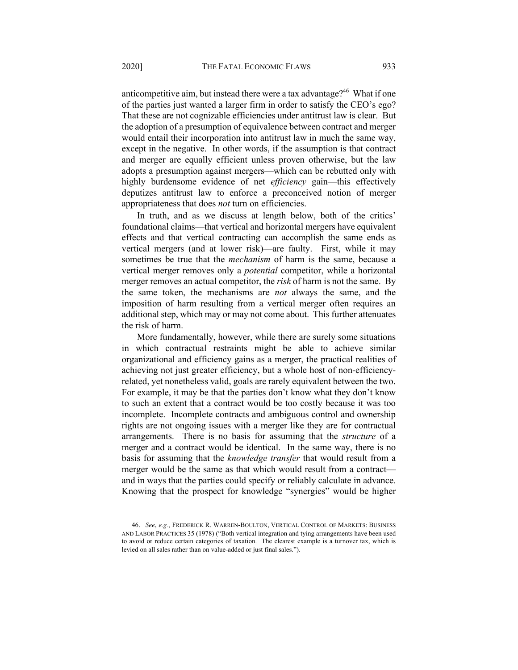anticompetitive aim, but instead there were a tax advantage?<sup>46</sup> What if one of the parties just wanted a larger firm in order to satisfy the CEO's ego? That these are not cognizable efficiencies under antitrust law is clear. But the adoption of a presumption of equivalence between contract and merger would entail their incorporation into antitrust law in much the same way, except in the negative. In other words, if the assumption is that contract and merger are equally efficient unless proven otherwise, but the law adopts a presumption against mergers—which can be rebutted only with highly burdensome evidence of net *efficiency* gain—this effectively deputizes antitrust law to enforce a preconceived notion of merger appropriateness that does *not* turn on efficiencies.

In truth, and as we discuss at length below, both of the critics' foundational claims—that vertical and horizontal mergers have equivalent effects and that vertical contracting can accomplish the same ends as vertical mergers (and at lower risk)—are faulty. First, while it may sometimes be true that the *mechanism* of harm is the same, because a vertical merger removes only a *potential* competitor, while a horizontal merger removes an actual competitor, the *risk* of harm is not the same. By the same token, the mechanisms are *not* always the same, and the imposition of harm resulting from a vertical merger often requires an additional step, which may or may not come about. This further attenuates the risk of harm.

More fundamentally, however, while there are surely some situations in which contractual restraints might be able to achieve similar organizational and efficiency gains as a merger, the practical realities of achieving not just greater efficiency, but a whole host of non-efficiencyrelated, yet nonetheless valid, goals are rarely equivalent between the two. For example, it may be that the parties don't know what they don't know to such an extent that a contract would be too costly because it was too incomplete. Incomplete contracts and ambiguous control and ownership rights are not ongoing issues with a merger like they are for contractual arrangements. There is no basis for assuming that the *structure* of a merger and a contract would be identical. In the same way, there is no basis for assuming that the *knowledge transfer* that would result from a merger would be the same as that which would result from a contract and in ways that the parties could specify or reliably calculate in advance. Knowing that the prospect for knowledge "synergies" would be higher

<sup>46.</sup> *See*, *e.g.*, FREDERICK R. WARREN-BOULTON, VERTICAL CONTROL OF MARKETS: BUSINESS AND LABOR PRACTICES 35 (1978) ("Both vertical integration and tying arrangements have been used to avoid or reduce certain categories of taxation. The clearest example is a turnover tax, which is levied on all sales rather than on value-added or just final sales.").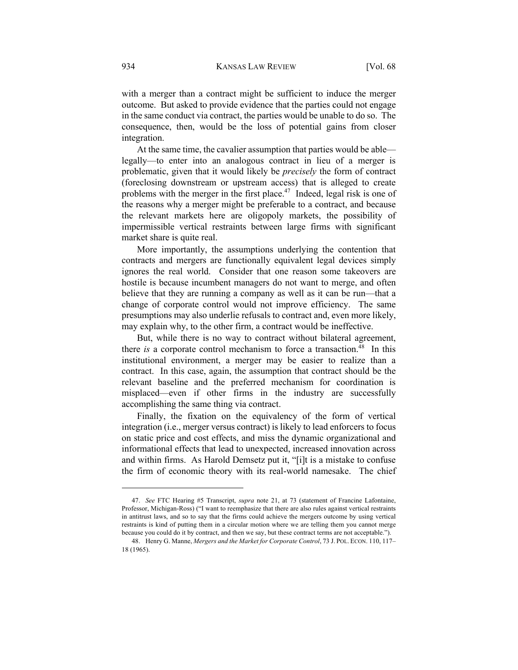with a merger than a contract might be sufficient to induce the merger outcome. But asked to provide evidence that the parties could not engage in the same conduct via contract, the parties would be unable to do so. The consequence, then, would be the loss of potential gains from closer integration.

At the same time, the cavalier assumption that parties would be able legally—to enter into an analogous contract in lieu of a merger is problematic, given that it would likely be *precisely* the form of contract (foreclosing downstream or upstream access) that is alleged to create problems with the merger in the first place.<sup>47</sup> Indeed, legal risk is one of the reasons why a merger might be preferable to a contract, and because the relevant markets here are oligopoly markets, the possibility of impermissible vertical restraints between large firms with significant market share is quite real.

More importantly, the assumptions underlying the contention that contracts and mergers are functionally equivalent legal devices simply ignores the real world. Consider that one reason some takeovers are hostile is because incumbent managers do not want to merge, and often believe that they are running a company as well as it can be run—that a change of corporate control would not improve efficiency. The same presumptions may also underlie refusals to contract and, even more likely, may explain why, to the other firm, a contract would be ineffective.

But, while there is no way to contract without bilateral agreement, there *is* a corporate control mechanism to force a transaction.<sup>48</sup> In this institutional environment, a merger may be easier to realize than a contract. In this case, again, the assumption that contract should be the relevant baseline and the preferred mechanism for coordination is misplaced—even if other firms in the industry are successfully accomplishing the same thing via contract.

Finally, the fixation on the equivalency of the form of vertical integration (i.e., merger versus contract) is likely to lead enforcers to focus on static price and cost effects, and miss the dynamic organizational and informational effects that lead to unexpected, increased innovation across and within firms. As Harold Demsetz put it, "[i]t is a mistake to confuse the firm of economic theory with its real-world namesake. The chief

<sup>47.</sup> *See* FTC Hearing #5 Transcript, *supra* note 21, at 73 (statement of Francine Lafontaine, Professor, Michigan-Ross) ("I want to reemphasize that there are also rules against vertical restraints in antitrust laws, and so to say that the firms could achieve the mergers outcome by using vertical restraints is kind of putting them in a circular motion where we are telling them you cannot merge because you could do it by contract, and then we say, but these contract terms are not acceptable.").

<sup>48.</sup> Henry G. Manne, *Mergers and the Market for Corporate Control*, 73 J. POL. ECON. 110, 117– 18 (1965).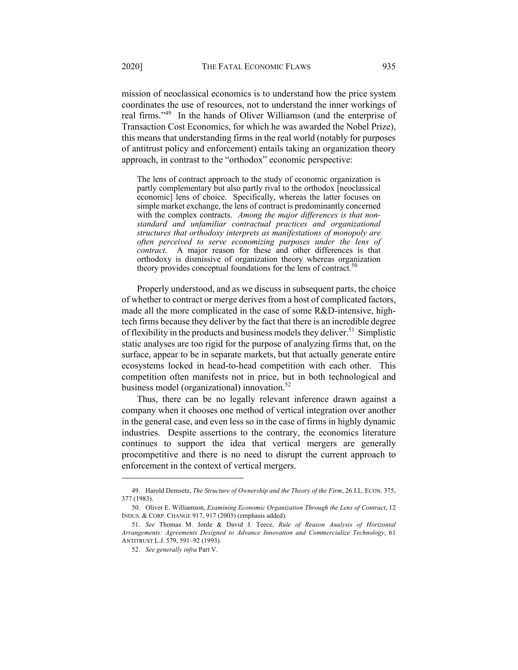mission of neoclassical economics is to understand how the price system coordinates the use of resources, not to understand the inner workings of real firms."49 In the hands of Oliver Williamson (and the enterprise of Transaction Cost Economics, for which he was awarded the Nobel Prize), this means that understanding firms in the real world (notably for purposes of antitrust policy and enforcement) entails taking an organization theory approach, in contrast to the "orthodox" economic perspective:

The lens of contract approach to the study of economic organization is partly complementary but also partly rival to the orthodox [neoclassical economic] lens of choice. Specifically, whereas the latter focuses on simple market exchange, the lens of contract is predominantly concerned with the complex contracts. *Among the major differences is that non‐ standard and unfamiliar contractual practices and organizational structures that orthodoxy interprets as manifestations of monopoly are often perceived to serve economizing purposes under the lens of contract.* A major reason for these and other differences is that orthodoxy is dismissive of organization theory whereas organization theory provides conceptual foundations for the lens of contract.<sup>5</sup>

Properly understood, and as we discuss in subsequent parts, the choice of whether to contract or merge derives from a host of complicated factors, made all the more complicated in the case of some R&D-intensive, hightech firms because they deliver by the fact that there is an incredible degree of flexibility in the products and business models they deliver.<sup>51</sup> Simplistic static analyses are too rigid for the purpose of analyzing firms that, on the surface, appear to be in separate markets, but that actually generate entire ecosystems locked in head-to-head competition with each other. This competition often manifests not in price, but in both technological and business model (organizational) innovation.<sup>52</sup>

Thus, there can be no legally relevant inference drawn against a company when it chooses one method of vertical integration over another in the general case, and even less so in the case of firms in highly dynamic industries. Despite assertions to the contrary, the economics literature continues to support the idea that vertical mergers are generally procompetitive and there is no need to disrupt the current approach to enforcement in the context of vertical mergers.

<sup>49.</sup> Harold Demsetz, *The Structure of Ownership and the Theory of the Firm*, 26 J.L. ECON. 375, 377 (1983).

<sup>50.</sup> Oliver E. Williamson, *Examining Economic Organization Through the Lens of Contract*, 12 INDUS. & CORP. CHANGE 917, 917 (2003) (emphasis added).

<sup>51.</sup> *See* Thomas M. Jorde & David J. Teece, *Rule of Reason Analysis of Horizontal Arrangements: Agreements Designed to Advance Innovation and Commercialize Technology*, 61 ANTITRUST L.J. 579, 591–92 (1993).

<sup>52.</sup> *See generally infra* Part V.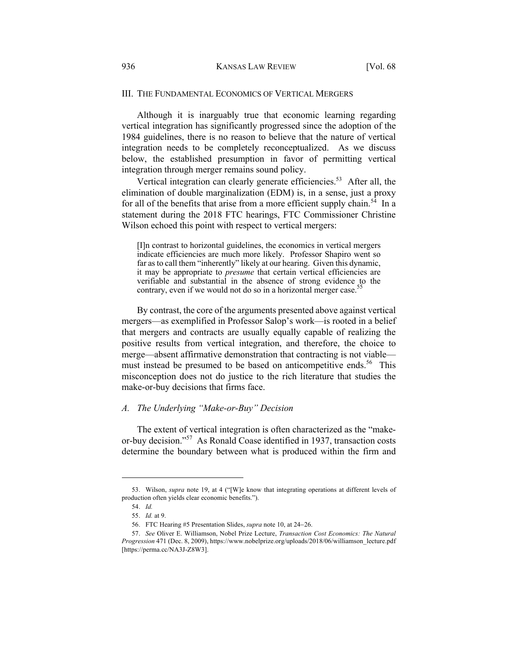## III. THE FUNDAMENTAL ECONOMICS OF VERTICAL MERGERS

Although it is inarguably true that economic learning regarding vertical integration has significantly progressed since the adoption of the 1984 guidelines, there is no reason to believe that the nature of vertical integration needs to be completely reconceptualized. As we discuss below, the established presumption in favor of permitting vertical integration through merger remains sound policy.

Vertical integration can clearly generate efficiencies.<sup>53</sup> After all, the elimination of double marginalization (EDM) is, in a sense, just a proxy for all of the benefits that arise from a more efficient supply chain.<sup>54</sup> In a statement during the 2018 FTC hearings, FTC Commissioner Christine Wilson echoed this point with respect to vertical mergers:

[I]n contrast to horizontal guidelines, the economics in vertical mergers indicate efficiencies are much more likely. Professor Shapiro went so far as to call them "inherently" likely at our hearing. Given this dynamic, it may be appropriate to *presume* that certain vertical efficiencies are verifiable and substantial in the absence of strong evidence to the contrary, even if we would not do so in a horizontal merger case.<sup>55</sup>

By contrast, the core of the arguments presented above against vertical mergers—as exemplified in Professor Salop's work—is rooted in a belief that mergers and contracts are usually equally capable of realizing the positive results from vertical integration, and therefore, the choice to merge—absent affirmative demonstration that contracting is not viable must instead be presumed to be based on anticompetitive ends.<sup>56</sup> This misconception does not do justice to the rich literature that studies the make-or-buy decisions that firms face.

#### *A. The Underlying "Make-or-Buy" Decision*

The extent of vertical integration is often characterized as the "makeor-buy decision."<sup>57</sup> As Ronald Coase identified in 1937, transaction costs determine the boundary between what is produced within the firm and

<sup>53.</sup> Wilson, *supra* note 19, at 4 ("[W]e know that integrating operations at different levels of production often yields clear economic benefits.").

<sup>54.</sup> *Id.*

<sup>55.</sup> *Id.* at 9.

<sup>56.</sup> FTC Hearing #5 Presentation Slides, *supra* note 10, at 24-26.

<sup>57.</sup> *See* Oliver E. Williamson, Nobel Prize Lecture, *Transaction Cost Economics: The Natural Progression* 471 (Dec. 8, 2009), https://www.nobelprize.org/uploads/2018/06/williamson\_lecture.pdf [https://perma.cc/NA3J-Z8W3].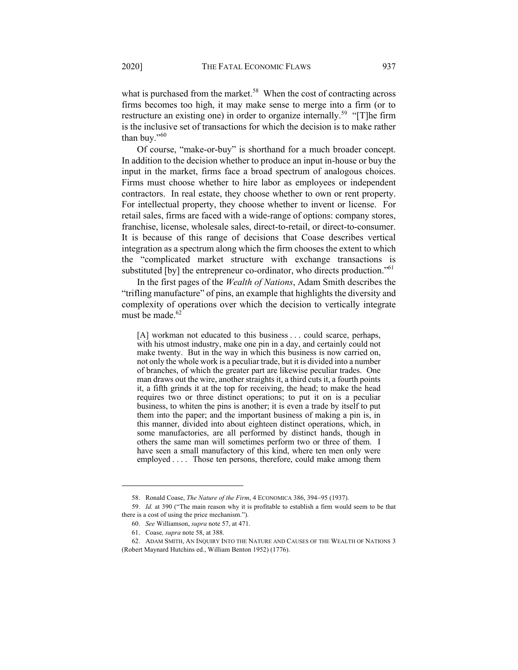what is purchased from the market.<sup>58</sup> When the cost of contracting across firms becomes too high, it may make sense to merge into a firm (or to restructure an existing one) in order to organize internally.<sup>59</sup> "[T]he firm is the inclusive set of transactions for which the decision is to make rather than buy."60

Of course, "make-or-buy" is shorthand for a much broader concept. In addition to the decision whether to produce an input in-house or buy the input in the market, firms face a broad spectrum of analogous choices. Firms must choose whether to hire labor as employees or independent contractors. In real estate, they choose whether to own or rent property. For intellectual property, they choose whether to invent or license. For retail sales, firms are faced with a wide-range of options: company stores, franchise, license, wholesale sales, direct-to-retail, or direct-to-consumer. It is because of this range of decisions that Coase describes vertical integration as a spectrum along which the firm chooses the extent to which the "complicated market structure with exchange transactions is substituted [by] the entrepreneur co-ordinator, who directs production."<sup>61</sup>

In the first pages of the *Wealth of Nations*, Adam Smith describes the "trifling manufacture" of pins, an example that highlights the diversity and complexity of operations over which the decision to vertically integrate must be made. $62$ 

[A] workman not educated to this business . . . could scarce, perhaps, with his utmost industry, make one pin in a day, and certainly could not make twenty. But in the way in which this business is now carried on, not only the whole work is a peculiar trade, but it is divided into a number of branches, of which the greater part are likewise peculiar trades. One man draws out the wire, another straights it, a third cuts it, a fourth points it, a fifth grinds it at the top for receiving, the head; to make the head requires two or three distinct operations; to put it on is a peculiar business, to whiten the pins is another; it is even a trade by itself to put them into the paper; and the important business of making a pin is, in this manner, divided into about eighteen distinct operations, which, in some manufactories, are all performed by distinct hands, though in others the same man will sometimes perform two or three of them. I have seen a small manufactory of this kind, where ten men only were employed . . . . Those ten persons, therefore, could make among them

<sup>58.</sup> Ronald Coase, *The Nature of the Firm*, 4 ECONOMICA 386, 394-95 (1937).

<sup>59.</sup> *Id.* at 390 ("The main reason why it is profitable to establish a firm would seem to be that there is a cost of using the price mechanism.").

<sup>60.</sup> *See* Williamson, *supra* note 57, at 471.

<sup>61.</sup> Coase*, supra* note 58, at 388.

<sup>62.</sup> ADAM SMITH, AN INQUIRY INTO THE NATURE AND CAUSES OF THE WEALTH OF NATIONS 3 (Robert Maynard Hutchins ed., William Benton 1952) (1776).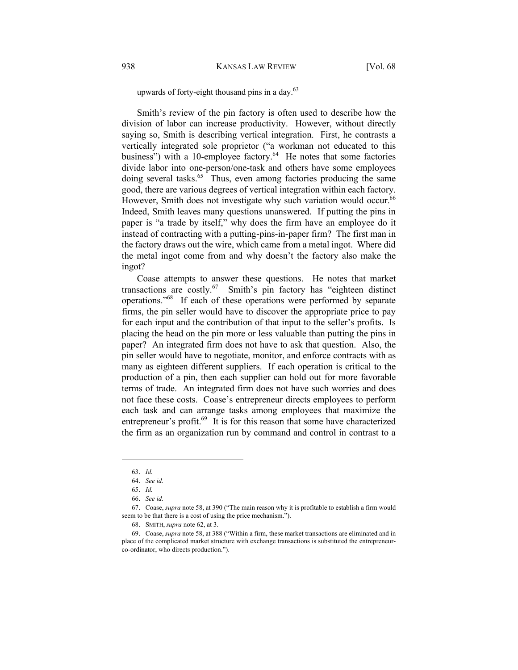## upwards of forty-eight thousand pins in a day. $63$

Smith's review of the pin factory is often used to describe how the division of labor can increase productivity. However, without directly saying so, Smith is describing vertical integration. First, he contrasts a vertically integrated sole proprietor ("a workman not educated to this business") with a 10-employee factory.<sup>64</sup> He notes that some factories divide labor into one-person/one-task and others have some employees doing several tasks.<sup>65</sup> Thus, even among factories producing the same good, there are various degrees of vertical integration within each factory. However, Smith does not investigate why such variation would occur.<sup>66</sup> Indeed, Smith leaves many questions unanswered. If putting the pins in paper is "a trade by itself," why does the firm have an employee do it instead of contracting with a putting-pins-in-paper firm? The first man in the factory draws out the wire, which came from a metal ingot. Where did the metal ingot come from and why doesn't the factory also make the ingot?

Coase attempts to answer these questions. He notes that market transactions are costly.<sup>67</sup> Smith's pin factory has "eighteen distinct operations."68 If each of these operations were performed by separate firms, the pin seller would have to discover the appropriate price to pay for each input and the contribution of that input to the seller's profits. Is placing the head on the pin more or less valuable than putting the pins in paper? An integrated firm does not have to ask that question. Also, the pin seller would have to negotiate, monitor, and enforce contracts with as many as eighteen different suppliers. If each operation is critical to the production of a pin, then each supplier can hold out for more favorable terms of trade. An integrated firm does not have such worries and does not face these costs. Coase's entrepreneur directs employees to perform each task and can arrange tasks among employees that maximize the entrepreneur's profit.<sup>69</sup> It is for this reason that some have characterized the firm as an organization run by command and control in contrast to a

<sup>63.</sup> *Id.*

<sup>64.</sup> *See id.*

<sup>65.</sup> *Id.*

<sup>66.</sup> *See id.*

<sup>67.</sup> Coase, *supra* note 58, at 390 ("The main reason why it is profitable to establish a firm would seem to be that there is a cost of using the price mechanism.").

<sup>68.</sup> SMITH, *supra* note 62, at 3.

<sup>69.</sup> Coase, *supra* note 58, at 388 ("Within a firm, these market transactions are eliminated and in place of the complicated market structure with exchange transactions is substituted the entrepreneurco-ordinator, who directs production.").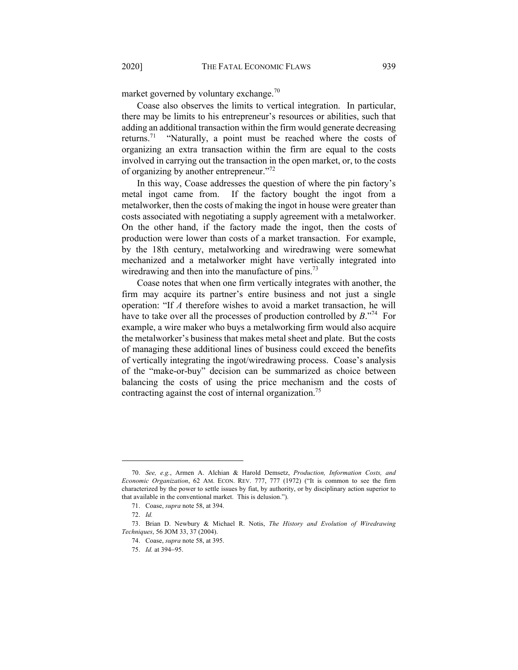market governed by voluntary exchange.<sup>70</sup>

Coase also observes the limits to vertical integration. In particular, there may be limits to his entrepreneur's resources or abilities, such that adding an additional transaction within the firm would generate decreasing returns.<sup>71</sup> "Naturally, a point must be reached where the costs of organizing an extra transaction within the firm are equal to the costs involved in carrying out the transaction in the open market, or, to the costs of organizing by another entrepreneur."<sup>72</sup>

In this way, Coase addresses the question of where the pin factory's metal ingot came from. If the factory bought the ingot from a metalworker, then the costs of making the ingot in house were greater than costs associated with negotiating a supply agreement with a metalworker. On the other hand, if the factory made the ingot, then the costs of production were lower than costs of a market transaction. For example, by the 18th century, metalworking and wiredrawing were somewhat mechanized and a metalworker might have vertically integrated into wiredrawing and then into the manufacture of pins.<sup>73</sup>

Coase notes that when one firm vertically integrates with another, the firm may acquire its partner's entire business and not just a single operation: "If *A* therefore wishes to avoid a market transaction, he will have to take over all the processes of production controlled by *B*."74 For example, a wire maker who buys a metalworking firm would also acquire the metalworker's business that makes metal sheet and plate. But the costs of managing these additional lines of business could exceed the benefits of vertically integrating the ingot/wiredrawing process. Coase's analysis of the "make-or-buy" decision can be summarized as choice between balancing the costs of using the price mechanism and the costs of contracting against the cost of internal organization.<sup>75</sup>

<sup>70.</sup> *See, e.g.*, Armen A. Alchian & Harold Demsetz, *Production, Information Costs, and Economic Organization*, 62 AM. ECON. REV. 777, 777 (1972) ("It is common to see the firm characterized by the power to settle issues by fiat, by authority, or by disciplinary action superior to that available in the conventional market. This is delusion.").

<sup>71.</sup> Coase, *supra* note 58, at 394.

<sup>72.</sup> *Id.*

<sup>73.</sup> Brian D. Newbury & Michael R. Notis, *The History and Evolution of Wiredrawing Techniques*, 56 JOM 33, 37 (2004).

<sup>74.</sup> Coase, *supra* note 58, at 395.

<sup>75.</sup> *Id.* at 394-95.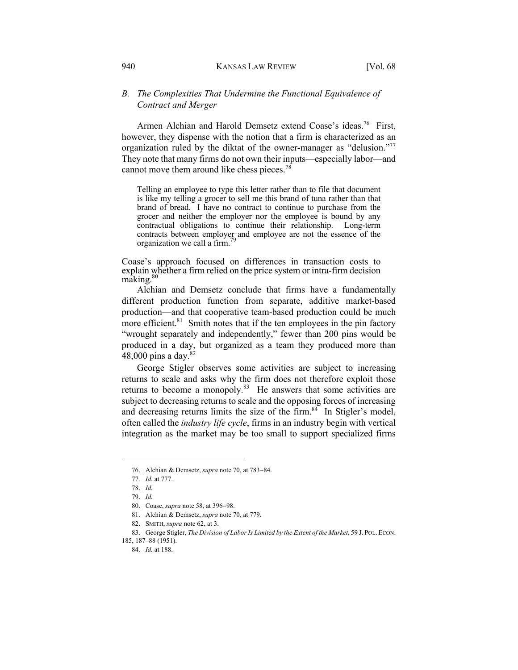# *B. The Complexities That Undermine the Functional Equivalence of Contract and Merger*

Armen Alchian and Harold Demsetz extend Coase's ideas.<sup>76</sup> First, however, they dispense with the notion that a firm is characterized as an organization ruled by the diktat of the owner-manager as "delusion."<sup>77</sup> They note that many firms do not own their inputs—especially labor—and cannot move them around like chess pieces.<sup>78</sup>

Telling an employee to type this letter rather than to file that document is like my telling a grocer to sell me this brand of tuna rather than that brand of bread. I have no contract to continue to purchase from the grocer and neither the employer nor the employee is bound by any contractual obligations to continue their relationship. Long-term contracts between employer and employee are not the essence of the organization we call a firm.<sup>7</sup>

Coase's approach focused on differences in transaction costs to explain whether a firm relied on the price system or intra-firm decision making.<sup>80</sup>

Alchian and Demsetz conclude that firms have a fundamentally different production function from separate, additive market-based production—and that cooperative team-based production could be much more efficient. $81$  Smith notes that if the ten employees in the pin factory "wrought separately and independently," fewer than 200 pins would be produced in a day, but organized as a team they produced more than 48,000 pins a day.<sup>82</sup>

George Stigler observes some activities are subject to increasing returns to scale and asks why the firm does not therefore exploit those returns to become a monopoly. $83$  He answers that some activities are subject to decreasing returns to scale and the opposing forces of increasing and decreasing returns limits the size of the firm. $84$  In Stigler's model, often called the *industry life cycle*, firms in an industry begin with vertical integration as the market may be too small to support specialized firms

<sup>76.</sup> Alchian & Demsetz, *supra* note 70, at 783-84.

<sup>77</sup>*. Id.* at 777.

<sup>78.</sup> *Id.*

<sup>79.</sup> *Id.*

<sup>80.</sup> Coase, *supra* note 58, at 396-98.

<sup>81.</sup> Alchian & Demsetz, *supra* note 70, at 779.

<sup>82.</sup> SMITH, *supra* note 62, at 3.

<sup>83.</sup> George Stigler, *The Division of Labor Is Limited by the Extent of the Market*, 59 J. POL. ECON. 185, 187–88 (1951).

<sup>84.</sup> *Id.* at 188.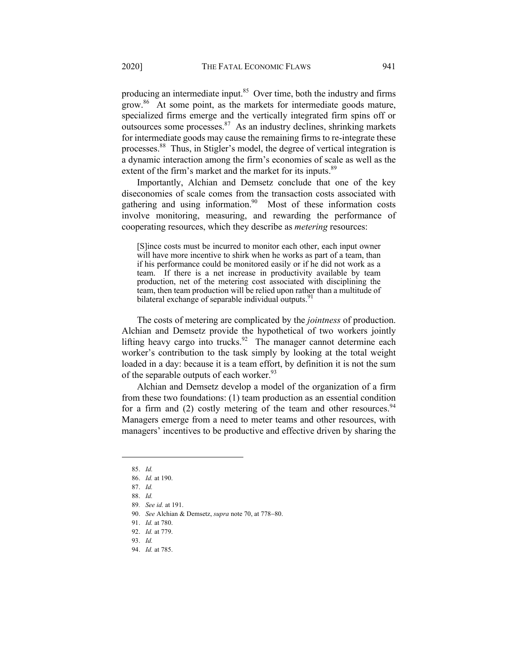producing an intermediate input. $85$  Over time, both the industry and firms grow.<sup>86</sup> At some point, as the markets for intermediate goods mature, specialized firms emerge and the vertically integrated firm spins off or outsources some processes. $87$  As an industry declines, shrinking markets for intermediate goods may cause the remaining firms to re-integrate these processes.88 Thus, in Stigler's model, the degree of vertical integration is a dynamic interaction among the firm's economies of scale as well as the extent of the firm's market and the market for its inputs.<sup>89</sup>

Importantly, Alchian and Demsetz conclude that one of the key diseconomies of scale comes from the transaction costs associated with gathering and using information.<sup>90</sup> Most of these information costs involve monitoring, measuring, and rewarding the performance of cooperating resources, which they describe as *metering* resources:

[S]ince costs must be incurred to monitor each other, each input owner will have more incentive to shirk when he works as part of a team, than if his performance could be monitored easily or if he did not work as a team. If there is a net increase in productivity available by team production, net of the metering cost associated with disciplining the team, then team production will be relied upon rather than a multitude of bilateral exchange of separable individual outputs.<sup>91</sup>

The costs of metering are complicated by the *jointness* of production. Alchian and Demsetz provide the hypothetical of two workers jointly lifting heavy cargo into trucks.<sup>92</sup> The manager cannot determine each worker's contribution to the task simply by looking at the total weight loaded in a day: because it is a team effort, by definition it is not the sum of the separable outputs of each worker.<sup>93</sup>

Alchian and Demsetz develop a model of the organization of a firm from these two foundations: (1) team production as an essential condition for a firm and (2) costly metering of the team and other resources.  $94$ Managers emerge from a need to meter teams and other resources, with managers' incentives to be productive and effective driven by sharing the

<sup>85.</sup> *Id.* 

<sup>86.</sup> *Id.* at 190.

<sup>87.</sup> *Id.* 

<sup>88.</sup> *Id.*

<sup>89</sup>*. See id.* at 191.

<sup>90.</sup> *See* Alchian & Demsetz, *supra* note 70, at 778-80.

<sup>91.</sup> *Id.* at 780.

<sup>92.</sup> *Id.* at 779.

<sup>93.</sup> *Id.*

<sup>94.</sup> *Id.* at 785.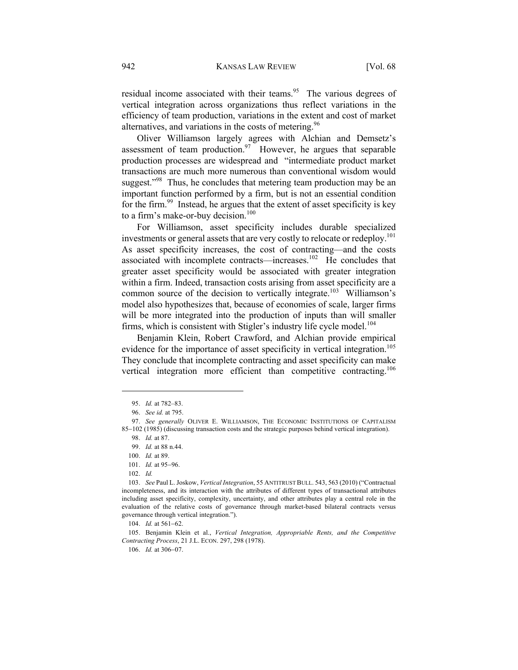residual income associated with their teams.<sup>95</sup> The various degrees of vertical integration across organizations thus reflect variations in the efficiency of team production, variations in the extent and cost of market alternatives, and variations in the costs of metering.<sup>96</sup>

Oliver Williamson largely agrees with Alchian and Demsetz's assessment of team production.<sup>97</sup> However, he argues that separable production processes are widespread and "intermediate product market transactions are much more numerous than conventional wisdom would suggest."<sup>98</sup> Thus, he concludes that metering team production may be an important function performed by a firm, but is not an essential condition for the firm.<sup>99</sup> Instead, he argues that the extent of asset specificity is key to a firm's make-or-buy decision. $100$ 

For Williamson, asset specificity includes durable specialized investments or general assets that are very costly to relocate or redeploy.<sup>101</sup> As asset specificity increases, the cost of contracting—and the costs associated with incomplete contracts—increases. 102 He concludes that greater asset specificity would be associated with greater integration within a firm. Indeed, transaction costs arising from asset specificity are a common source of the decision to vertically integrate.<sup>103</sup> Williamson's model also hypothesizes that, because of economies of scale, larger firms will be more integrated into the production of inputs than will smaller firms, which is consistent with Stigler's industry life cycle model.<sup>104</sup>

Benjamin Klein, Robert Crawford, and Alchian provide empirical evidence for the importance of asset specificity in vertical integration.<sup>105</sup> They conclude that incomplete contracting and asset specificity can make vertical integration more efficient than competitive contracting.<sup>106</sup>

105. Benjamin Klein et al., *Vertical Integration, Appropriable Rents, and the Competitive Contracting Process*, 21 J.L. ECON. 297, 298 (1978).

106. *Id.* at 306-07.

<sup>95.</sup> *Id.* at 782–83.

<sup>96.</sup> *See id.* at 795.

<sup>97.</sup> *See generally* OLIVER E. WILLIAMSON, THE ECONOMIC INSTITUTIONS OF CAPITALISM 85-102 (1985) (discussing transaction costs and the strategic purposes behind vertical integration).

<sup>98.</sup> *Id.* at 87.

<sup>99.</sup> *Id.* at 88 n.44.

<sup>100.</sup> *Id.* at 89.

<sup>101.</sup> *Id.* at 95-96.

<sup>102.</sup> *Id.*

<sup>103.</sup> *See* Paul L. Joskow, *Vertical Integration*, 55 ANTITRUST BULL. 543, 563 (2010) ("Contractual incompleteness, and its interaction with the attributes of different types of transactional attributes including asset specificity, complexity, uncertainty, and other attributes play a central role in the evaluation of the relative costs of governance through market-based bilateral contracts versus governance through vertical integration.").

<sup>104.</sup> *Id.* at 561-62.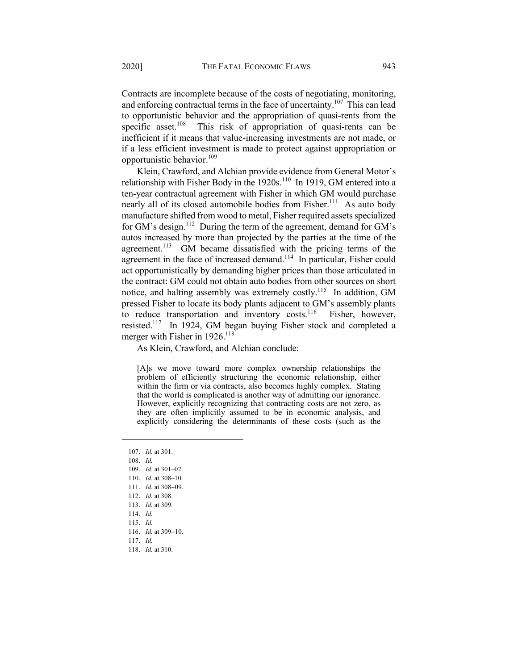Contracts are incomplete because of the costs of negotiating, monitoring, and enforcing contractual terms in the face of uncertainty.<sup>107</sup> This can lead to opportunistic behavior and the appropriation of quasi-rents from the specific asset.<sup>108</sup> This risk of appropriation of quasi-rents can be inefficient if it means that value-increasing investments are not made, or if a less efficient investment is made to protect against appropriation or opportunistic behavior. $109$ 

Klein, Crawford, and Alchian provide evidence from General Motor's relationship with Fisher Body in the  $1920s$ .<sup>110</sup> In 1919, GM entered into a ten-year contractual agreement with Fisher in which GM would purchase nearly all of its closed automobile bodies from Fisher.<sup>111</sup> As auto body manufacture shifted from wood to metal, Fisher required assets specialized for GM's design.<sup>112</sup> During the term of the agreement, demand for GM's autos increased by more than projected by the parties at the time of the agreement.<sup>113</sup> GM became dissatisfied with the pricing terms of the agreement in the face of increased demand.<sup>114</sup> In particular, Fisher could act opportunistically by demanding higher prices than those articulated in the contract: GM could not obtain auto bodies from other sources on short notice, and halting assembly was extremely costly.<sup>115</sup> In addition, GM pressed Fisher to locate its body plants adjacent to GM's assembly plants to reduce transportation and inventory costs.<sup>116</sup> Fisher, however, resisted.117 In 1924, GM began buying Fisher stock and completed a merger with Fisher in  $1926$ .<sup>118</sup>

As Klein, Crawford, and Alchian conclude:

[A]s we move toward more complex ownership relationships the problem of efficiently structuring the economic relationship, either within the firm or via contracts, also becomes highly complex. Stating that the world is complicated is another way of admitting our ignorance. However, explicitly recognizing that contracting costs are not zero, as they are often implicitly assumed to be in economic analysis, and explicitly considering the determinants of these costs (such as the

107. *Id.* at 301. 108. *Id.* 109. *Id.* at 301–02. 110. *Id.* at 308–10. 111. *Id.* at 308-09. 112. *Id.* at 308. 113. *Id.* at 309. 114. *Id.* 115. *Id.* 116. *Id.* at 309-10. 117. *Id.* 118. *Id.* at 310.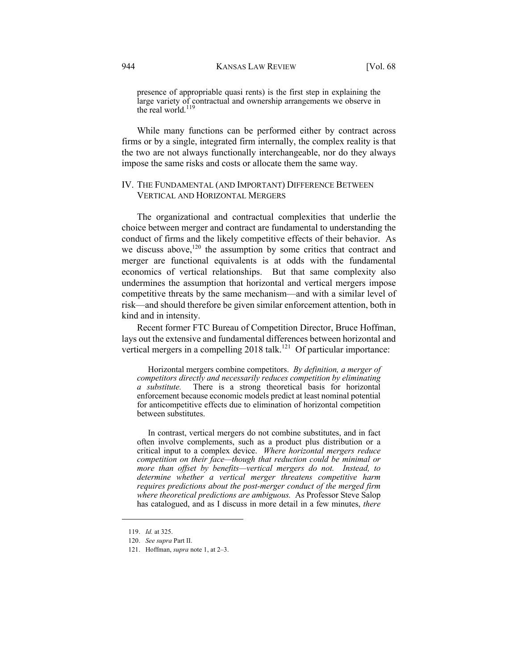presence of appropriable quasi rents) is the first step in explaining the large variety of contractual and ownership arrangements we observe in the real world.<sup>119</sup>

While many functions can be performed either by contract across firms or by a single, integrated firm internally, the complex reality is that the two are not always functionally interchangeable, nor do they always impose the same risks and costs or allocate them the same way.

# IV. THE FUNDAMENTAL (AND IMPORTANT) DIFFERENCE BETWEEN VERTICAL AND HORIZONTAL MERGERS

The organizational and contractual complexities that underlie the choice between merger and contract are fundamental to understanding the conduct of firms and the likely competitive effects of their behavior. As we discuss above,<sup>120</sup> the assumption by some critics that contract and merger are functional equivalents is at odds with the fundamental economics of vertical relationships. But that same complexity also undermines the assumption that horizontal and vertical mergers impose competitive threats by the same mechanism—and with a similar level of risk—and should therefore be given similar enforcement attention, both in kind and in intensity.

Recent former FTC Bureau of Competition Director, Bruce Hoffman, lays out the extensive and fundamental differences between horizontal and vertical mergers in a compelling  $2018$  talk.<sup>121</sup> Of particular importance:

Horizontal mergers combine competitors. *By definition, a merger of competitors directly and necessarily reduces competition by eliminating a substitute.* There is a strong theoretical basis for horizontal enforcement because economic models predict at least nominal potential for anticompetitive effects due to elimination of horizontal competition between substitutes.

In contrast, vertical mergers do not combine substitutes, and in fact often involve complements, such as a product plus distribution or a critical input to a complex device. *Where horizontal mergers reduce competition on their face—though that reduction could be minimal or more than offset by benefits—vertical mergers do not. Instead, to determine whether a vertical merger threatens competitive harm requires predictions about the post-merger conduct of the merged firm where theoretical predictions are ambiguous.* As Professor Steve Salop has catalogued, and as I discuss in more detail in a few minutes, *there* 

<sup>119.</sup> *Id.* at 325.

<sup>120.</sup> *See supra* Part II.

<sup>121.</sup> Hoffman, *supra* note 1, at 2–3.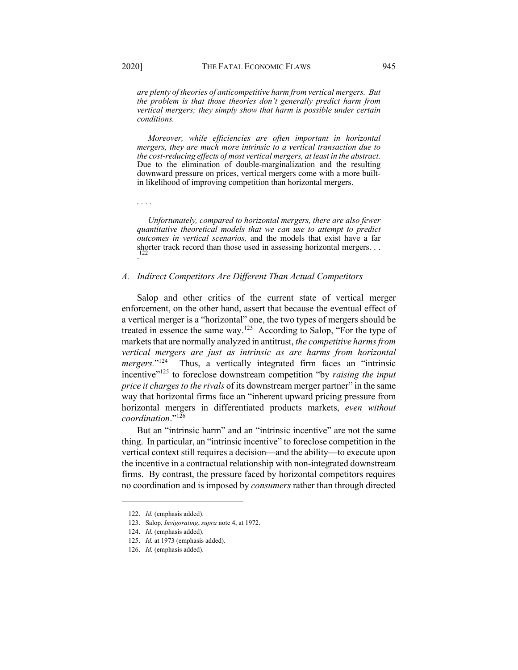*are plenty of theories of anticompetitive harm from vertical mergers. But the problem is that those theories don't generally predict harm from vertical mergers; they simply show that harm is possible under certain conditions.*

*Moreover, while efficiencies are often important in horizontal mergers, they are much more intrinsic to a vertical transaction due to the cost-reducing effects of most vertical mergers, at least in the abstract.*  Due to the elimination of double-marginalization and the resulting downward pressure on prices, vertical mergers come with a more builtin likelihood of improving competition than horizontal mergers.

*. . . .*

*Unfortunately, compared to horizontal mergers, there are also fewer quantitative theoretical models that we can use to attempt to predict outcomes in vertical scenarios,* and the models that exist have a far shorter track record than those used in assessing horizontal mergers. . . 122 .

## *A. Indirect Competitors Are Different Than Actual Competitors*

Salop and other critics of the current state of vertical merger enforcement, on the other hand, assert that because the eventual effect of a vertical merger is a "horizontal" one, the two types of mergers should be treated in essence the same way.123 According to Salop, "For the type of markets that are normally analyzed in antitrust, *the competitive harms from vertical mergers are just as intrinsic as are harms from horizontal mergers.*"<sup>124</sup> Thus, a vertically integrated firm faces an "intrinsic incentive<sup>"125</sup> to foreclose downstream competition "by *raising the input price it charges to the rivals* of its downstream merger partner" in the same way that horizontal firms face an "inherent upward pricing pressure from horizontal mergers in differentiated products markets, *even without coordination*."<sup>126</sup>

But an "intrinsic harm" and an "intrinsic incentive" are not the same thing. In particular, an "intrinsic incentive" to foreclose competition in the vertical context still requires a decision—and the ability—to execute upon the incentive in a contractual relationship with non-integrated downstream firms. By contrast, the pressure faced by horizontal competitors requires no coordination and is imposed by *consumers* rather than through directed

<sup>122.</sup> *Id.* (emphasis added).

<sup>123.</sup> Salop, *Invigorating*, *supra* note 4, at 1972.

<sup>124.</sup> *Id.* (emphasis added).

<sup>125.</sup> *Id.* at 1973 (emphasis added).

<sup>126.</sup> *Id.* (emphasis added).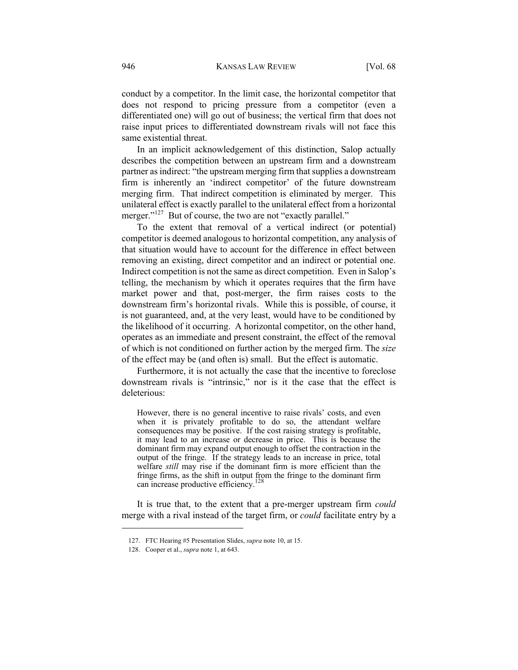conduct by a competitor. In the limit case, the horizontal competitor that does not respond to pricing pressure from a competitor (even a differentiated one) will go out of business; the vertical firm that does not raise input prices to differentiated downstream rivals will not face this same existential threat.

In an implicit acknowledgement of this distinction, Salop actually describes the competition between an upstream firm and a downstream partner as indirect: "the upstream merging firm that supplies a downstream firm is inherently an 'indirect competitor' of the future downstream merging firm. That indirect competition is eliminated by merger. This unilateral effect is exactly parallel to the unilateral effect from a horizontal merger."<sup>127</sup> But of course, the two are not "exactly parallel."

To the extent that removal of a vertical indirect (or potential) competitor is deemed analogous to horizontal competition, any analysis of that situation would have to account for the difference in effect between removing an existing, direct competitor and an indirect or potential one. Indirect competition is not the same as direct competition. Even in Salop's telling, the mechanism by which it operates requires that the firm have market power and that, post-merger, the firm raises costs to the downstream firm's horizontal rivals. While this is possible, of course, it is not guaranteed, and, at the very least, would have to be conditioned by the likelihood of it occurring. A horizontal competitor, on the other hand, operates as an immediate and present constraint, the effect of the removal of which is not conditioned on further action by the merged firm. The *size* of the effect may be (and often is) small. But the effect is automatic.

Furthermore, it is not actually the case that the incentive to foreclose downstream rivals is "intrinsic," nor is it the case that the effect is deleterious:

However, there is no general incentive to raise rivals' costs, and even when it is privately profitable to do so, the attendant welfare consequences may be positive. If the cost raising strategy is profitable, it may lead to an increase or decrease in price. This is because the dominant firm may expand output enough to offset the contraction in the output of the fringe. If the strategy leads to an increase in price, total welfare *still* may rise if the dominant firm is more efficient than the fringe firms, as the shift in output from the fringe to the dominant firm can increase productive efficiency.<sup>128</sup>

It is true that, to the extent that a pre-merger upstream firm *could* merge with a rival instead of the target firm, or *could* facilitate entry by a

<sup>127.</sup> FTC Hearing #5 Presentation Slides, *supra* note 10, at 15.

<sup>128.</sup> Cooper et al., *supra* note 1, at 643.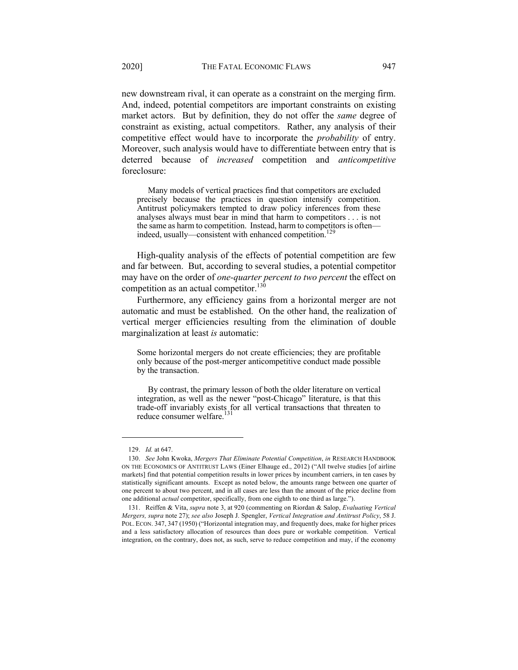new downstream rival, it can operate as a constraint on the merging firm. And, indeed, potential competitors are important constraints on existing market actors. But by definition, they do not offer the *same* degree of constraint as existing, actual competitors. Rather, any analysis of their competitive effect would have to incorporate the *probability* of entry. Moreover, such analysis would have to differentiate between entry that is deterred because of *increased* competition and *anticompetitive* foreclosure:

Many models of vertical practices find that competitors are excluded precisely because the practices in question intensify competition. Antitrust policymakers tempted to draw policy inferences from these analyses always must bear in mind that harm to competitors . . . is not the same as harm to competition. Instead, harm to competitors is often indeed, usually—consistent with enhanced competition.<sup>129</sup>

High-quality analysis of the effects of potential competition are few and far between. But, according to several studies, a potential competitor may have on the order of *one-quarter percent to two percent* the effect on competition as an actual competitor.<sup>130</sup>

Furthermore, any efficiency gains from a horizontal merger are not automatic and must be established. On the other hand, the realization of vertical merger efficiencies resulting from the elimination of double marginalization at least *is* automatic:

Some horizontal mergers do not create efficiencies; they are profitable only because of the post-merger anticompetitive conduct made possible by the transaction.

By contrast, the primary lesson of both the older literature on vertical integration, as well as the newer "post-Chicago" literature, is that this trade-off invariably exists for all vertical transactions that threaten to reduce consumer welfare.

<sup>129.</sup> *Id.* at 647.

<sup>130.</sup> *See* John Kwoka, *Mergers That Eliminate Potential Competition*, *in* RESEARCH HANDBOOK ON THE ECONOMICS OF ANTITRUST LAWS (Einer Elhauge ed., 2012) ("All twelve studies [of airline markets] find that potential competition results in lower prices by incumbent carriers, in ten cases by statistically significant amounts. Except as noted below, the amounts range between one quarter of one percent to about two percent, and in all cases are less than the amount of the price decline from one additional *actual* competitor, specifically, from one eighth to one third as large.").

<sup>131.</sup> Reiffen & Vita, *supra* note 3, at 920 (commenting on Riordan & Salop, *Evaluating Vertical Mergers, supra* note 27); *see also* Joseph J. Spengler, *Vertical Integration and Antitrust Policy*, 58 J. POL. ECON. 347, 347 (1950) ("Horizontal integration may, and frequently does, make for higher prices and a less satisfactory allocation of resources than does pure or workable competition. Vertical integration, on the contrary, does not, as such, serve to reduce competition and may, if the economy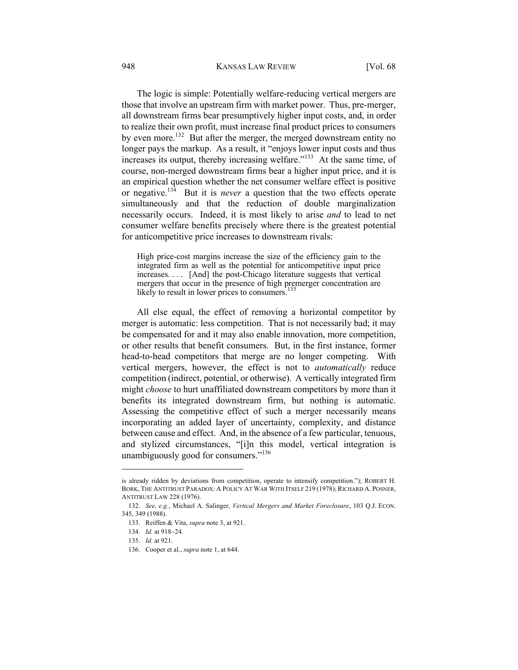#### 948 KANSAS LAW REVIEW [Vol. 68]

The logic is simple: Potentially welfare-reducing vertical mergers are those that involve an upstream firm with market power. Thus, pre-merger, all downstream firms bear presumptively higher input costs, and, in order to realize their own profit, must increase final product prices to consumers by even more.<sup>132</sup> But after the merger, the merged downstream entity no longer pays the markup. As a result, it "enjoys lower input costs and thus increases its output, thereby increasing welfare."133 At the same time, of course, non-merged downstream firms bear a higher input price, and it is an empirical question whether the net consumer welfare effect is positive or negative.134 But it is *never* a question that the two effects operate simultaneously and that the reduction of double marginalization necessarily occurs. Indeed, it is most likely to arise *and* to lead to net consumer welfare benefits precisely where there is the greatest potential for anticompetitive price increases to downstream rivals:

High price-cost margins increase the size of the efficiency gain to the integrated firm as well as the potential for anticompetitive input price increases. . . . [And] the post-Chicago literature suggests that vertical mergers that occur in the presence of high premerger concentration are likely to result in lower prices to consumers.<sup>135</sup>

All else equal, the effect of removing a horizontal competitor by merger is automatic: less competition. That is not necessarily bad; it may be compensated for and it may also enable innovation, more competition, or other results that benefit consumers. But, in the first instance, former head-to-head competitors that merge are no longer competing. With vertical mergers, however, the effect is not to *automatically* reduce competition (indirect, potential, or otherwise). A vertically integrated firm might *choose* to hurt unaffiliated downstream competitors by more than it benefits its integrated downstream firm, but nothing is automatic. Assessing the competitive effect of such a merger necessarily means incorporating an added layer of uncertainty, complexity, and distance between cause and effect. And, in the absence of a few particular, tenuous, and stylized circumstances, "[i]n this model, vertical integration is unambiguously good for consumers."<sup>136</sup>

is already ridden by deviations from competition, operate to intensify competition."); ROBERT H. BORK, THE ANTITRUST PARADOX: A POLICY AT WAR WITH ITSELF 219 (1978); RICHARD A. POSNER, ANTITRUST LAW 228 (1976).

<sup>132.</sup> *See, e.g.*, Michael A. Salinger, *Vertical Mergers and Market Foreclosure*, 103 Q.J. ECON. 345, 349 (1988).

<sup>133.</sup> Reiffen & Vita, *supra* note 3, at 921.

<sup>134.</sup> *Id.* at 918-24.

<sup>135.</sup> *Id.* at 921.

<sup>136.</sup> Cooper et al., *supra* note 1, at 644.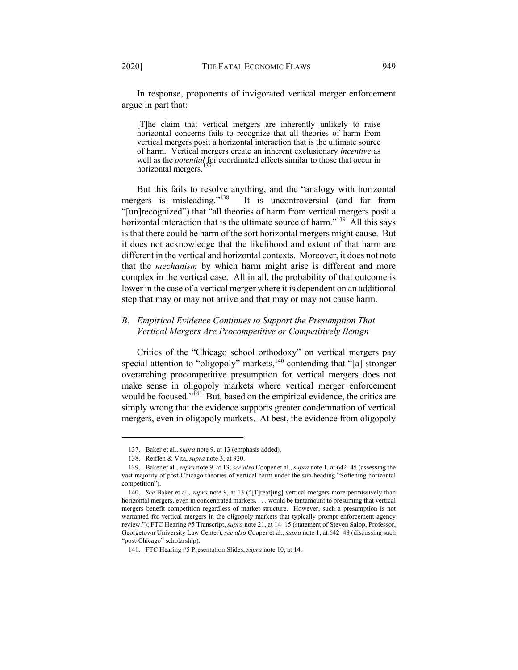In response, proponents of invigorated vertical merger enforcement argue in part that:

[T]he claim that vertical mergers are inherently unlikely to raise horizontal concerns fails to recognize that all theories of harm from vertical mergers posit a horizontal interaction that is the ultimate source of harm. Vertical mergers create an inherent exclusionary *incentive* as well as the *potential* for coordinated effects similar to those that occur in horizontal mergers.<sup>137</sup>

But this fails to resolve anything, and the "analogy with horizontal mergers is misleading."138 It is uncontroversial (and far from "[un]recognized") that "all theories of harm from vertical mergers posit a horizontal interaction that is the ultimate source of harm."<sup>139</sup> All this says is that there could be harm of the sort horizontal mergers might cause. But it does not acknowledge that the likelihood and extent of that harm are different in the vertical and horizontal contexts. Moreover, it does not note that the *mechanism* by which harm might arise is different and more complex in the vertical case. All in all, the probability of that outcome is lower in the case of a vertical merger where it is dependent on an additional step that may or may not arrive and that may or may not cause harm.

# *B. Empirical Evidence Continues to Support the Presumption That Vertical Mergers Are Procompetitive or Competitively Benign*

Critics of the "Chicago school orthodoxy" on vertical mergers pay special attention to "oligopoly" markets, $140$  contending that "[a] stronger overarching procompetitive presumption for vertical mergers does not make sense in oligopoly markets where vertical merger enforcement would be focused."<sup>141</sup> But, based on the empirical evidence, the critics are simply wrong that the evidence supports greater condemnation of vertical mergers, even in oligopoly markets. At best, the evidence from oligopoly

<sup>137.</sup> Baker et al., *supra* note 9, at 13 (emphasis added).

<sup>138.</sup> Reiffen & Vita, *supra* note 3, at 920.

<sup>139.</sup> Baker et al., *supra* note 9, at 13; *see also* Cooper et al., *supra* note 1, at 642–45 (assessing the vast majority of post-Chicago theories of vertical harm under the sub-heading "Softening horizontal competition").

<sup>140.</sup> *See* Baker et al., *supra* note 9, at 13 ("[T]reat[ing] vertical mergers more permissively than horizontal mergers, even in concentrated markets, . . . would be tantamount to presuming that vertical mergers benefit competition regardless of market structure. However, such a presumption is not warranted for vertical mergers in the oligopoly markets that typically prompt enforcement agency review."); FTC Hearing #5 Transcript, *supra* note 21, at 14–15 (statement of Steven Salop, Professor, Georgetown University Law Center); *see also* Cooper et al., *supra* note 1, at 642–48 (discussing such "post-Chicago" scholarship).

<sup>141.</sup> FTC Hearing #5 Presentation Slides, *supra* note 10, at 14.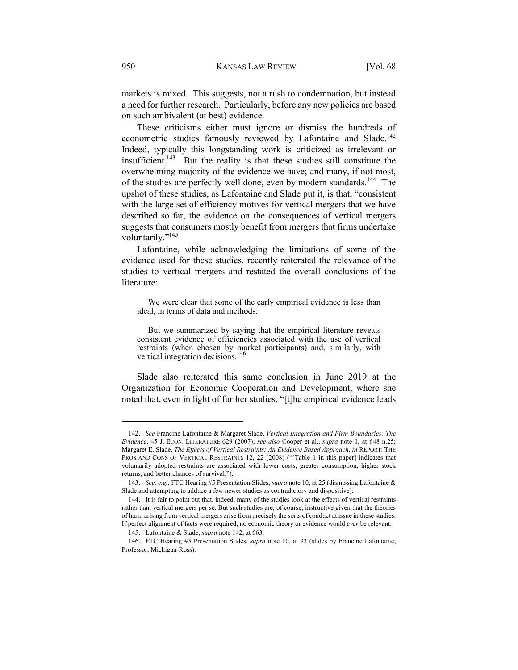markets is mixed. This suggests, not a rush to condemnation, but instead a need for further research. Particularly, before any new policies are based on such ambivalent (at best) evidence.

These criticisms either must ignore or dismiss the hundreds of econometric studies famously reviewed by Lafontaine and Slade.<sup>142</sup> Indeed, typically this longstanding work is criticized as irrelevant or insufficient.<sup>143</sup> But the reality is that these studies still constitute the overwhelming majority of the evidence we have; and many, if not most, of the studies are perfectly well done, even by modern standards.<sup>144</sup> The upshot of these studies, as Lafontaine and Slade put it, is that, "consistent with the large set of efficiency motives for vertical mergers that we have described so far, the evidence on the consequences of vertical mergers suggests that consumers mostly benefit from mergers that firms undertake voluntarily."<sup>145</sup>

Lafontaine, while acknowledging the limitations of some of the evidence used for these studies, recently reiterated the relevance of the studies to vertical mergers and restated the overall conclusions of the literature:

We were clear that some of the early empirical evidence is less than ideal, in terms of data and methods.

But we summarized by saying that the empirical literature reveals consistent evidence of efficiencies associated with the use of vertical restraints (when chosen by market participants) and, similarly, with vertical integration decisions.<sup>146</sup>

Slade also reiterated this same conclusion in June 2019 at the Organization for Economic Cooperation and Development, where she noted that, even in light of further studies, "[t]he empirical evidence leads

<sup>142.</sup> *See* Francine Lafontaine & Margaret Slade, *Vertical Integration and Firm Boundaries: The Evidence*, 45 J. ECON. LITERATURE 629 (2007); *see also* Cooper et al., *supra* note 1, at 648 n.25; Margaret E. Slade, *The Effects of Vertical Restraints: An Evidence Based Approach*, *in* REPORT: THE PROS AND CONS OF VERTICAL RESTRAINTS 12, 22 (2008) ("[Table 1 in this paper] indicates that voluntarily adopted restraints are associated with lower costs, greater consumption, higher stock returns, and better chances of survival.").

<sup>143.</sup> *See, e.g.*, FTC Hearing #5 Presentation Slides, *supra* note 10, at 25 (dismissing Lafontaine & Slade and attempting to adduce a few newer studies as contradictory and dispositive).

<sup>144.</sup> It is fair to point out that, indeed, many of the studies look at the effects of vertical restraints rather than vertical mergers per se. But such studies are, of course, instructive given that the theories of harm arising from vertical mergers arise from precisely the sorts of conduct at issue in these studies. If perfect alignment of facts were required, no economic theory or evidence would *ever* be relevant.

<sup>145.</sup> Lafontaine & Slade, *supra* note 142, at 663.

<sup>146.</sup> FTC Hearing #5 Presentation Slides, *supra* note 10, at 93 (slides by Francine Lafontaine, Professor, Michigan-Ross).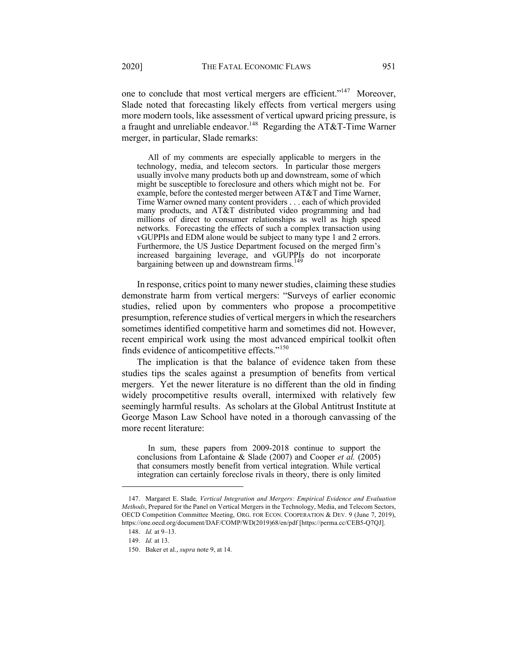one to conclude that most vertical mergers are efficient."<sup>147</sup> Moreover, Slade noted that forecasting likely effects from vertical mergers using more modern tools, like assessment of vertical upward pricing pressure, is a fraught and unreliable endeavor.<sup>148</sup> Regarding the AT&T-Time Warner merger, in particular, Slade remarks:

All of my comments are especially applicable to mergers in the technology, media, and telecom sectors. In particular those mergers usually involve many products both up and downstream, some of which might be susceptible to foreclosure and others which might not be. For example, before the contested merger between AT&T and Time Warner, Time Warner owned many content providers . . . each of which provided many products, and AT&T distributed video programming and had millions of direct to consumer relationships as well as high speed networks. Forecasting the effects of such a complex transaction using vGUPPIs and EDM alone would be subject to many type 1 and 2 errors. Furthermore, the US Justice Department focused on the merged firm's increased bargaining leverage, and vGUPPIs do not incorporate bargaining between up and downstream firms.<sup>149</sup>

In response, critics point to many newer studies, claiming these studies demonstrate harm from vertical mergers: "Surveys of earlier economic studies, relied upon by commenters who propose a procompetitive presumption, reference studies of vertical mergers in which the researchers sometimes identified competitive harm and sometimes did not. However, recent empirical work using the most advanced empirical toolkit often finds evidence of anticompetitive effects."<sup>150</sup>

The implication is that the balance of evidence taken from these studies tips the scales against a presumption of benefits from vertical mergers. Yet the newer literature is no different than the old in finding widely procompetitive results overall, intermixed with relatively few seemingly harmful results. As scholars at the Global Antitrust Institute at George Mason Law School have noted in a thorough canvassing of the more recent literature:

In sum, these papers from 2009-2018 continue to support the conclusions from Lafontaine & Slade (2007) and Cooper *et al.* (2005) that consumers mostly benefit from vertical integration. While vertical integration can certainly foreclose rivals in theory, there is only limited

<sup>147.</sup> Margaret E. Slade*, Vertical Integration and Mergers: Empirical Evidence and Evaluation Methods*, Prepared for the Panel on Vertical Mergers in the Technology, Media, and Telecom Sectors, OECD Competition Committee Meeting, ORG. FOR ECON. COOPERATION & DEV. 9 (June 7, 2019), https://one.oecd.org/document/DAF/COMP/WD(2019)68/en/pdf [https://perma.cc/CEB5-Q7QJ].

<sup>148.</sup> *Id.* at 9–13.

<sup>149.</sup> *Id.* at 13.

<sup>150.</sup> Baker et al., *supra* note 9, at 14.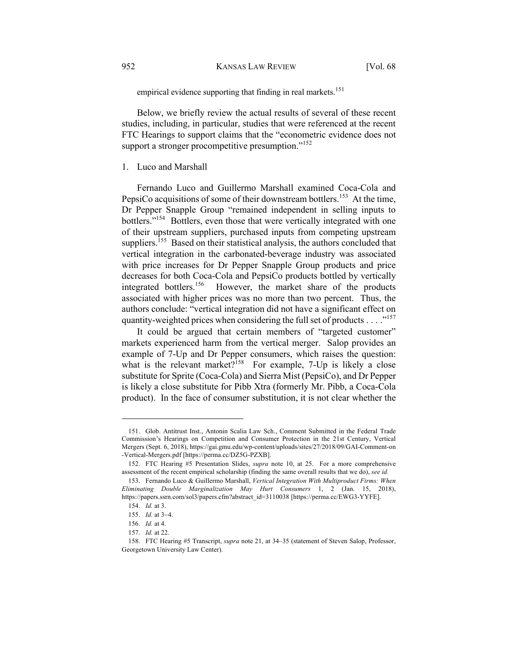empirical evidence supporting that finding in real markets.<sup>151</sup>

Below, we briefly review the actual results of several of these recent studies, including, in particular, studies that were referenced at the recent FTC Hearings to support claims that the "econometric evidence does not support a stronger procompetitive presumption."<sup>152</sup>

## 1. Luco and Marshall

Fernando Luco and Guillermo Marshall examined Coca-Cola and PepsiCo acquisitions of some of their downstream bottlers.<sup>153</sup> At the time, Dr Pepper Snapple Group "remained independent in selling inputs to bottlers."154 Bottlers, even those that were vertically integrated with one of their upstream suppliers, purchased inputs from competing upstream suppliers.<sup>155</sup> Based on their statistical analysis, the authors concluded that vertical integration in the carbonated-beverage industry was associated with price increases for Dr Pepper Snapple Group products and price decreases for both Coca-Cola and PepsiCo products bottled by vertically integrated bottlers.<sup>156</sup> However, the market share of the products associated with higher prices was no more than two percent. Thus, the authors conclude: "vertical integration did not have a significant effect on quantity-weighted prices when considering the full set of products . . . . "<sup>157</sup>

It could be argued that certain members of "targeted customer" markets experienced harm from the vertical merger. Salop provides an example of 7-Up and Dr Pepper consumers, which raises the question: what is the relevant market?<sup>158</sup> For example, 7-Up is likely a close substitute for Sprite (Coca-Cola) and Sierra Mist (PepsiCo), and Dr Pepper is likely a close substitute for Pibb Xtra (formerly Mr. Pibb, a Coca-Cola product). In the face of consumer substitution, it is not clear whether the

<sup>151.</sup> Glob. Antitrust Inst., Antonin Scalia Law Sch., Comment Submitted in the Federal Trade Commission's Hearings on Competition and Consumer Protection in the 21st Century, Vertical Mergers (Sept. 6, 2018), https://gai.gmu.edu/wp-content/uploads/sites/27/2018/09/GAI-Comment-on -Vertical-Mergers.pdf [https://perma.cc/DZ5G-PZXB].

<sup>152.</sup> FTC Hearing #5 Presentation Slides, *supra* note 10, at 25. For a more comprehensive assessment of the recent empirical scholarship (finding the same overall results that we do), *see id.* 

<sup>153.</sup> Fernando Luco & Guillermo Marshall, *Vertical Integration With Multiproduct Firms: When Eliminating Double Marginalization May Hurt Consumers* 1, 2 (Jan. 15, 2018), https://papers.ssrn.com/sol3/papers.cfm?abstract\_id=3110038 [https://perma.cc/EWG3-YYFE].

<sup>154.</sup> *Id.* at 3.

<sup>155.</sup> *Id.* at 3-4.

<sup>156.</sup> *Id.* at 4.

<sup>157.</sup> *Id.* at 22.

<sup>158.</sup> FTC Hearing #5 Transcript, *supra* note 21, at 34–35 (statement of Steven Salop, Professor, Georgetown University Law Center).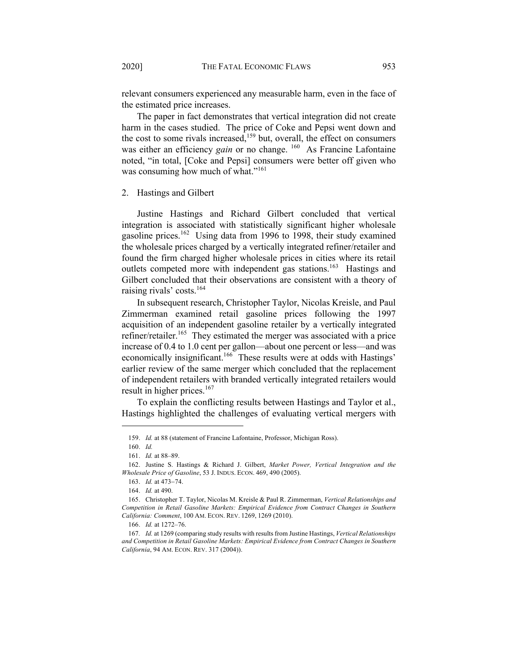relevant consumers experienced any measurable harm, even in the face of the estimated price increases.

The paper in fact demonstrates that vertical integration did not create harm in the cases studied. The price of Coke and Pepsi went down and the cost to some rivals increased,<sup>159</sup> but, overall, the effect on consumers was either an efficiency *gain* or no change.<sup>160</sup> As Francine Lafontaine noted, "in total, [Coke and Pepsi] consumers were better off given who was consuming how much of what."<sup>161</sup>

## 2. Hastings and Gilbert

Justine Hastings and Richard Gilbert concluded that vertical integration is associated with statistically significant higher wholesale gasoline prices.<sup>162</sup> Using data from 1996 to 1998, their study examined the wholesale prices charged by a vertically integrated refiner/retailer and found the firm charged higher wholesale prices in cities where its retail outlets competed more with independent gas stations.<sup>163</sup> Hastings and Gilbert concluded that their observations are consistent with a theory of raising rivals' costs.<sup>164</sup>

In subsequent research, Christopher Taylor, Nicolas Kreisle, and Paul Zimmerman examined retail gasoline prices following the 1997 acquisition of an independent gasoline retailer by a vertically integrated refiner/retailer.<sup>165</sup> They estimated the merger was associated with a price increase of 0.4 to 1.0 cent per gallon—about one percent or less—and was economically insignificant.<sup>166</sup> These results were at odds with Hastings' earlier review of the same merger which concluded that the replacement of independent retailers with branded vertically integrated retailers would result in higher prices.<sup>167</sup>

To explain the conflicting results between Hastings and Taylor et al., Hastings highlighted the challenges of evaluating vertical mergers with

<sup>159.</sup> *Id.* at 88 (statement of Francine Lafontaine, Professor, Michigan Ross).

<sup>160.</sup> *Id.*

<sup>161.</sup> *Id.* at 88–89.

<sup>162.</sup> Justine S. Hastings & Richard J. Gilbert, *Market Power, Vertical Integration and the Wholesale Price of Gasoline*, 53 J. INDUS. ECON. 469, 490 (2005).

<sup>163.</sup> *Id.* at 473-74.

<sup>164.</sup> *Id.* at 490.

<sup>165.</sup> Christopher T. Taylor, Nicolas M. Kreisle & Paul R. Zimmerman, *Vertical Relationships and Competition in Retail Gasoline Markets: Empirical Evidence from Contract Changes in Southern California: Comment*, 100 AM. ECON. REV. 1269, 1269 (2010).

<sup>166.</sup> *Id.* at 1272–76.

<sup>167</sup>*. Id.* at 1269 (comparing study results with results from Justine Hastings, *Vertical Relationships and Competition in Retail Gasoline Markets: Empirical Evidence from Contract Changes in Southern California*, 94 AM. ECON. REV. 317 (2004)).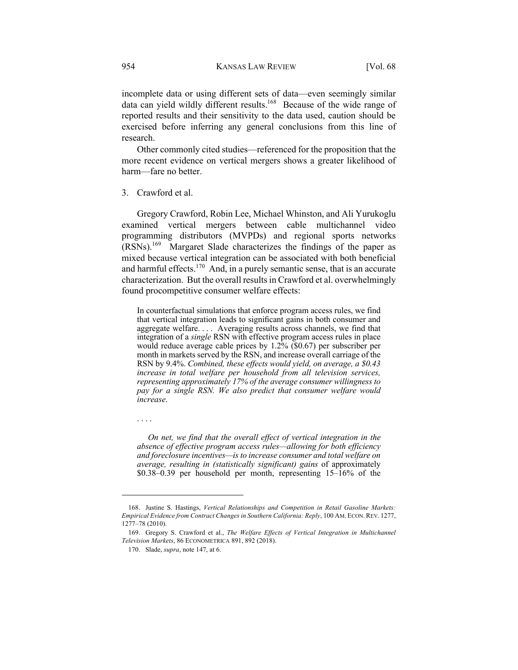incomplete data or using different sets of data—even seemingly similar data can yield wildly different results.<sup>168</sup> Because of the wide range of reported results and their sensitivity to the data used, caution should be exercised before inferring any general conclusions from this line of research.

Other commonly cited studies—referenced for the proposition that the more recent evidence on vertical mergers shows a greater likelihood of harm—fare no better.

## 3. Crawford et al.

Gregory Crawford, Robin Lee, Michael Whinston, and Ali Yurukoglu examined vertical mergers between cable multichannel video programming distributors (MVPDs) and regional sports networks (RSNs).169 Margaret Slade characterizes the findings of the paper as mixed because vertical integration can be associated with both beneficial and harmful effects.<sup>170</sup> And, in a purely semantic sense, that is an accurate characterization. But the overall results in Crawford et al. overwhelmingly found procompetitive consumer welfare effects:

In counterfactual simulations that enforce program access rules, we find that vertical integration leads to significant gains in both consumer and aggregate welfare. . . . Averaging results across channels, we find that integration of a *single* RSN with effective program access rules in place would reduce average cable prices by 1.2% (\$0.67) per subscriber per month in markets served by the RSN, and increase overall carriage of the RSN by 9.4%. *Combined, these effects would yield, on average, a \$0.43 increase in total welfare per household from all television services, representing approximately 17% of the average consumer willingness to pay for a single RSN. We also predict that consumer welfare would increase*.

. . . .

*On net, we find that the overall effect of vertical integration in the absence of effective program access rules—allowing for both efficiency and foreclosure incentives—is to increase consumer and total welfare on average, resulting in (statistically significant) gains* of approximately \$0.38–0.39 per household per month, representing 15–16% of the

<sup>168.</sup> Justine S. Hastings, *Vertical Relationships and Competition in Retail Gasoline Markets: Empirical Evidence from Contract Changes in Southern California: Reply*, 100 AM. ECON.REV. 1277, 1277–78 (2010).

<sup>169.</sup> Gregory S. Crawford et al., *The Welfare Effects of Vertical Integration in Multichannel Television Markets*, 86 ECONOMETRICA 891, 892 (2018).

<sup>170.</sup> Slade, *supra*, note 147, at 6.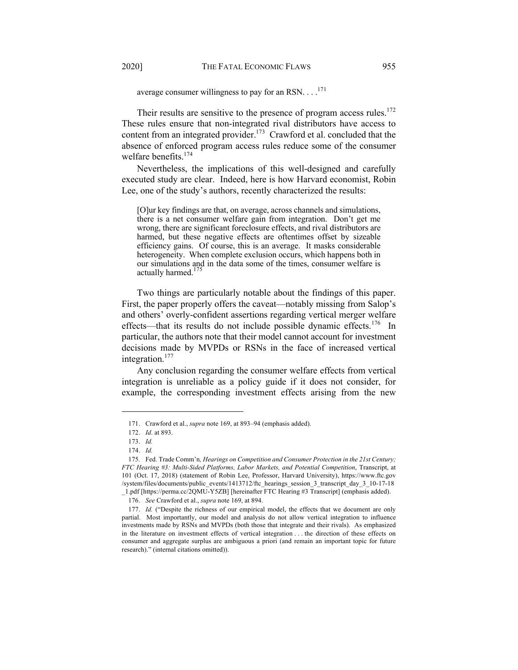average consumer willingness to pay for an RSN.  $\dots$ <sup>171</sup>

Their results are sensitive to the presence of program access rules. $172$ These rules ensure that non-integrated rival distributors have access to content from an integrated provider.<sup>173</sup> Crawford et al. concluded that the absence of enforced program access rules reduce some of the consumer welfare benefits.<sup>174</sup>

Nevertheless, the implications of this well-designed and carefully executed study are clear. Indeed, here is how Harvard economist, Robin Lee, one of the study's authors, recently characterized the results:

[O]ur key findings are that, on average, across channels and simulations, there is a net consumer welfare gain from integration. Don't get me wrong, there are significant foreclosure effects, and rival distributors are harmed, but these negative effects are oftentimes offset by sizeable efficiency gains. Of course, this is an average. It masks considerable heterogeneity. When complete exclusion occurs, which happens both in our simulations and in the data some of the times, consumer welfare is actually harmed.<sup>175</sup>

Two things are particularly notable about the findings of this paper. First, the paper properly offers the caveat—notably missing from Salop's and others' overly-confident assertions regarding vertical merger welfare effects—that its results do not include possible dynamic effects.<sup>176</sup> In particular, the authors note that their model cannot account for investment decisions made by MVPDs or RSNs in the face of increased vertical integration.<sup>177</sup>

Any conclusion regarding the consumer welfare effects from vertical integration is unreliable as a policy guide if it does not consider, for example, the corresponding investment effects arising from the new

<sup>171.</sup> Crawford et al., *supra* note 169, at 893–94 (emphasis added).

<sup>172.</sup> *Id*. at 893.

<sup>173.</sup> *Id.* 

<sup>174.</sup> *Id.*

<sup>175</sup>*.* Fed. Trade Comm'n*, Hearings on Competition and Consumer Protection in the 21st Century; FTC Hearing #3: Multi-Sided Platforms, Labor Markets, and Potential Competition*, Transcript, at 101 (Oct. 17, 2018) (statement of Robin Lee, Professor, Harvard University), https://www.ftc.gov /system/files/documents/public\_events/1413712/ftc\_hearings\_session\_3\_transcript\_day\_3\_10-17-18 \_1.pdf [https://perma.cc/2QMU-Y5ZB] [hereinafter FTC Hearing #3 Transcript] (emphasis added).

<sup>176.</sup> *See* Crawford et al., *supra* note 169, at 894.

<sup>177.</sup> *Id.* ("Despite the richness of our empirical model, the effects that we document are only partial. Most importantly, our model and analysis do not allow vertical integration to influence investments made by RSNs and MVPDs (both those that integrate and their rivals). As emphasized in the literature on investment effects of vertical integration . . . the direction of these effects on consumer and aggregate surplus are ambiguous a priori (and remain an important topic for future research)." (internal citations omitted)).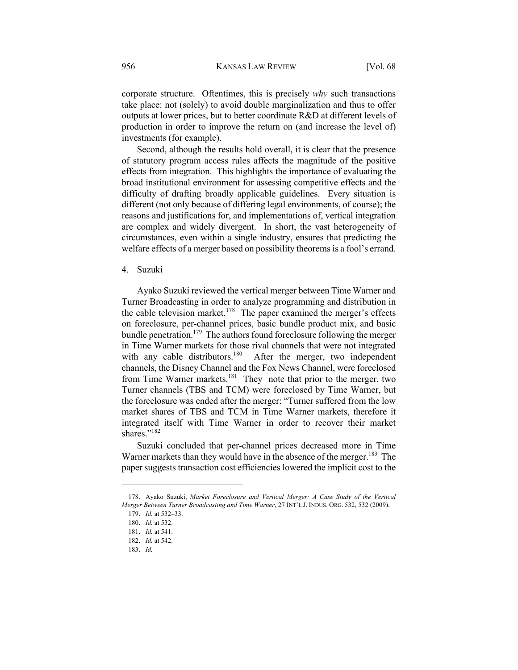corporate structure. Oftentimes, this is precisely *why* such transactions take place: not (solely) to avoid double marginalization and thus to offer outputs at lower prices, but to better coordinate R&D at different levels of production in order to improve the return on (and increase the level of) investments (for example).

Second, although the results hold overall, it is clear that the presence of statutory program access rules affects the magnitude of the positive effects from integration. This highlights the importance of evaluating the broad institutional environment for assessing competitive effects and the difficulty of drafting broadly applicable guidelines. Every situation is different (not only because of differing legal environments, of course); the reasons and justifications for, and implementations of, vertical integration are complex and widely divergent. In short, the vast heterogeneity of circumstances, even within a single industry, ensures that predicting the welfare effects of a merger based on possibility theorems is a fool's errand.

#### 4. Suzuki

Ayako Suzuki reviewed the vertical merger between Time Warner and Turner Broadcasting in order to analyze programming and distribution in the cable television market.<sup>178</sup> The paper examined the merger's effects on foreclosure, per-channel prices, basic bundle product mix, and basic bundle penetration.<sup>179</sup> The authors found foreclosure following the merger in Time Warner markets for those rival channels that were not integrated with any cable distributors.<sup>180</sup> After the merger, two independent After the merger, two independent channels, the Disney Channel and the Fox News Channel, were foreclosed from Time Warner markets.<sup>181</sup> They note that prior to the merger, two Turner channels (TBS and TCM) were foreclosed by Time Warner, but the foreclosure was ended after the merger: "Turner suffered from the low market shares of TBS and TCM in Time Warner markets, therefore it integrated itself with Time Warner in order to recover their market shares."<sup>182</sup>

Suzuki concluded that per-channel prices decreased more in Time Warner markets than they would have in the absence of the merger.<sup>183</sup> The paper suggests transaction cost efficiencies lowered the implicit cost to the

<sup>178.</sup> Ayako Suzuki, *Market Foreclosure and Vertical Merger: A Case Study of the Vertical Merger Between Turner Broadcasting and Time Warner*, 27 INT'L J. INDUS. ORG. 532, 532 (2009).

<sup>179.</sup> *Id.* at 532–33.

<sup>180.</sup> *Id.* at 532.

<sup>181.</sup> *Id.* at 541.

<sup>182.</sup> *Id.* at 542.

<sup>183.</sup> *Id.*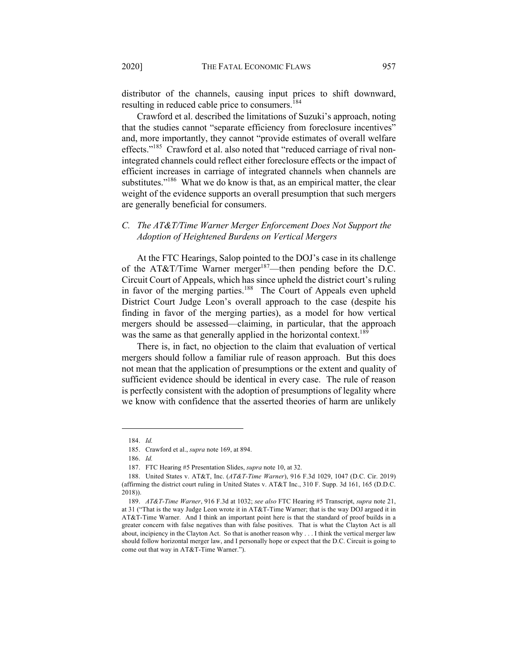distributor of the channels, causing input prices to shift downward, resulting in reduced cable price to consumers.<sup>184</sup>

Crawford et al. described the limitations of Suzuki's approach, noting that the studies cannot "separate efficiency from foreclosure incentives" and, more importantly, they cannot "provide estimates of overall welfare effects."<sup>185</sup> Crawford et al. also noted that "reduced carriage of rival nonintegrated channels could reflect either foreclosure effects or the impact of efficient increases in carriage of integrated channels when channels are substitutes."<sup>186</sup> What we do know is that, as an empirical matter, the clear weight of the evidence supports an overall presumption that such mergers are generally beneficial for consumers.

# *C. The AT&T/Time Warner Merger Enforcement Does Not Support the Adoption of Heightened Burdens on Vertical Mergers*

At the FTC Hearings, Salop pointed to the DOJ's case in its challenge of the AT&T/Time Warner merger<sup>187</sup>—then pending before the D.C. Circuit Court of Appeals, which has since upheld the district court's ruling in favor of the merging parties.<sup>188</sup> The Court of Appeals even upheld District Court Judge Leon's overall approach to the case (despite his finding in favor of the merging parties), as a model for how vertical mergers should be assessed—claiming, in particular, that the approach was the same as that generally applied in the horizontal context.<sup>189</sup>

There is, in fact, no objection to the claim that evaluation of vertical mergers should follow a familiar rule of reason approach. But this does not mean that the application of presumptions or the extent and quality of sufficient evidence should be identical in every case. The rule of reason is perfectly consistent with the adoption of presumptions of legality where we know with confidence that the asserted theories of harm are unlikely

<sup>184.</sup> *Id.*

<sup>185.</sup> Crawford et al., *supra* note 169, at 894.

<sup>186.</sup> *Id.*

<sup>187.</sup> FTC Hearing #5 Presentation Slides, *supra* note 10, at 32.

<sup>188.</sup> United States v. AT&T, Inc. (*AT&T-Time Warner*), 916 F.3d 1029, 1047 (D.C. Cir. 2019) (affirming the district court ruling in United States v. AT&T Inc., 310 F. Supp. 3d 161, 165 (D.D.C. 2018)).

<sup>189.</sup> *AT&T-Time Warner*, 916 F.3d at 1032; *see also* FTC Hearing #5 Transcript, *supra* note 21, at 31 ("That is the way Judge Leon wrote it in AT&T-Time Warner; that is the way DOJ argued it in AT&T-Time Warner. And I think an important point here is that the standard of proof builds in a greater concern with false negatives than with false positives. That is what the Clayton Act is all about, incipiency in the Clayton Act. So that is another reason why . . . I think the vertical merger law should follow horizontal merger law, and I personally hope or expect that the D.C. Circuit is going to come out that way in AT&T-Time Warner.").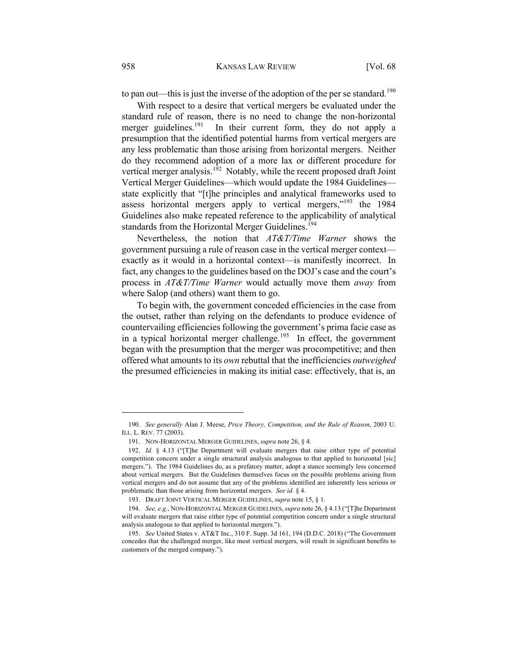to pan out—this is just the inverse of the adoption of the per se standard.<sup>190</sup>

With respect to a desire that vertical mergers be evaluated under the standard rule of reason, there is no need to change the non-horizontal merger guidelines.<sup>191</sup> In their current form, they do not apply a presumption that the identified potential harms from vertical mergers are any less problematic than those arising from horizontal mergers. Neither do they recommend adoption of a more lax or different procedure for vertical merger analysis.<sup>192</sup> Notably, while the recent proposed draft Joint Vertical Merger Guidelines—which would update the 1984 Guidelines state explicitly that "[t]he principles and analytical frameworks used to assess horizontal mergers apply to vertical mergers,"<sup>193</sup> the 1984 Guidelines also make repeated reference to the applicability of analytical standards from the Horizontal Merger Guidelines.<sup>194</sup>

Nevertheless, the notion that *AT&T/Time Warner* shows the government pursuing a rule of reason case in the vertical merger context exactly as it would in a horizontal context—is manifestly incorrect. In fact, any changes to the guidelines based on the DOJ's case and the court's process in *AT&T/Time Warner* would actually move them *away* from where Salop (and others) want them to go.

To begin with, the government conceded efficiencies in the case from the outset, rather than relying on the defendants to produce evidence of countervailing efficiencies following the government's prima facie case as in a typical horizontal merger challenge.<sup>195</sup> In effect, the government began with the presumption that the merger was procompetitive; and then offered what amounts to its *own* rebuttal that the inefficiencies *outweighed* the presumed efficiencies in making its initial case: effectively, that is, an

<sup>190.</sup> *See generally* Alan J. Meese, *Price Theory, Competition, and the Rule of Reason*, 2003 U. ILL. L. REV. 77 (2003).

<sup>191.</sup> NON-HORIZONTAL MERGER GUIDELINES, *supra* note 26, § 4.

<sup>192.</sup> *Id.* § 4.13 ("[T]he Department will evaluate mergers that raise either type of potential competition concern under a single structural analysis analogous to that applied to horizontal [sic] mergers."). The 1984 Guidelines do, as a prefatory matter, adopt a stance seemingly less concerned about vertical mergers. But the Guidelines themselves focus on the possible problems arising from vertical mergers and do not assume that any of the problems identified are inherently less serious or problematic than those arising from horizontal mergers. *See id.* § 4.

<sup>193.</sup> DRAFT JOINT VERTICAL MERGER GUIDELINES, *supra* note 15, § 1.

<sup>194.</sup> *See, e.g.*, NON-HORIZONTAL MERGER GUIDELINES, *supra* note 26, § 4.13 ("[T]he Department will evaluate mergers that raise either type of potential competition concern under a single structural analysis analogous to that applied to horizontal mergers.").

<sup>195.</sup> *See* United States v. AT&T Inc., 310 F. Supp. 3d 161, 194 (D.D.C. 2018) ("The Government concedes that the challenged merger, like most vertical mergers, will result in significant benefits to customers of the merged company.").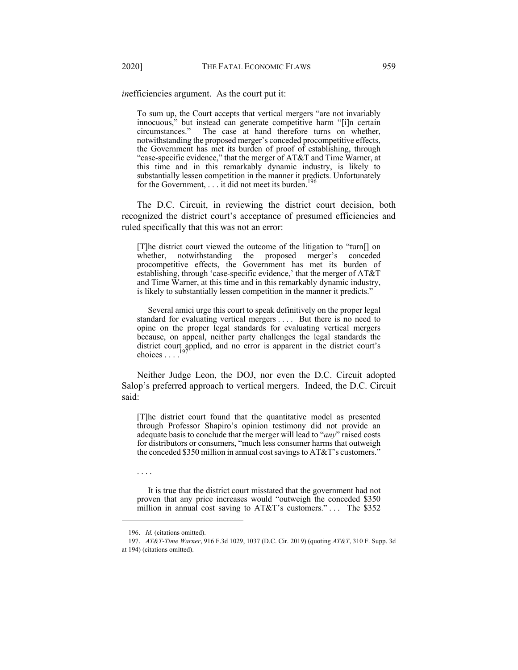*in*efficiencies argument. As the court put it:

To sum up, the Court accepts that vertical mergers "are not invariably innocuous," but instead can generate competitive harm "[i]n certain circumstances." The case at hand therefore turns on whether, notwithstanding the proposed merger's conceded procompetitive effects, the Government has met its burden of proof of establishing, through "case-specific evidence," that the merger of AT&T and Time Warner, at this time and in this remarkably dynamic industry, is likely to substantially lessen competition in the manner it predicts. Unfortunately for the Government,  $\dots$  it did not meet its burden.<sup>196</sup>

The D.C. Circuit, in reviewing the district court decision, both recognized the district court's acceptance of presumed efficiencies and ruled specifically that this was not an error:

[T]he district court viewed the outcome of the litigation to "turn[] on whether, notwithstanding the proposed merger's conceded procompetitive effects, the Government has met its burden of establishing, through 'case-specific evidence,' that the merger of AT&T and Time Warner, at this time and in this remarkably dynamic industry, is likely to substantially lessen competition in the manner it predicts."

Several amici urge this court to speak definitively on the proper legal standard for evaluating vertical mergers . . . . But there is no need to opine on the proper legal standards for evaluating vertical mergers because, on appeal, neither party challenges the legal standards the district court applied, and no error is apparent in the district court's choices  $\ldots$ .<sup>197</sup>

Neither Judge Leon, the DOJ, nor even the D.C. Circuit adopted Salop's preferred approach to vertical mergers. Indeed, the D.C. Circuit said:

[T]he district court found that the quantitative model as presented through Professor Shapiro's opinion testimony did not provide an adequate basis to conclude that the merger will lead to "*any*" raised costs for distributors or consumers, "much less consumer harms that outweigh the conceded \$350 million in annual cost savings to AT&T's customers."

It is true that the district court misstated that the government had not proven that any price increases would "outweigh the conceded \$350 million in annual cost saving to AT&T's customers."... The \$352

. . . .

<sup>196.</sup> *Id.* (citations omitted).

<sup>197.</sup> *AT&T-Time Warner*, 916 F.3d 1029, 1037 (D.C. Cir. 2019) (quoting *AT&T*, 310 F. Supp. 3d at 194) (citations omitted).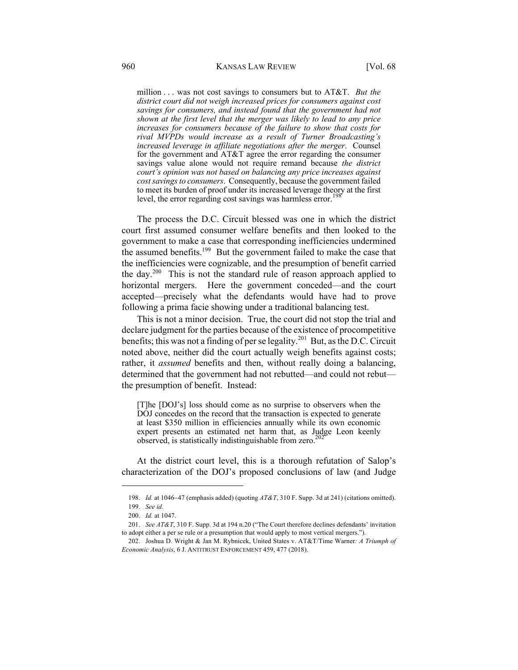million . . . was not cost savings to consumers but to AT&T. *But the district court did not weigh increased prices for consumers against cost savings for consumers, and instead found that the government had not shown at the first level that the merger was likely to lead to any price increases for consumers because of the failure to show that costs for rival MVPDs would increase as a result of Turner Broadcasting's increased leverage in affiliate negotiations after the merger*. Counsel for the government and AT&T agree the error regarding the consumer savings value alone would not require remand because *the district court's opinion was not based on balancing any price increases against cost savings to consumers*. Consequently, because the government failed to meet its burden of proof under its increased leverage theory at the first level, the error regarding cost savings was harmless error.<sup>19</sup>

The process the D.C. Circuit blessed was one in which the district court first assumed consumer welfare benefits and then looked to the government to make a case that corresponding inefficiencies undermined the assumed benefits.<sup>199</sup> But the government failed to make the case that the inefficiencies were cognizable, and the presumption of benefit carried the day.<sup>200</sup> This is not the standard rule of reason approach applied to horizontal mergers. Here the government conceded—and the court accepted—precisely what the defendants would have had to prove following a prima facie showing under a traditional balancing test.

This is not a minor decision. True, the court did not stop the trial and declare judgment for the parties because of the existence of procompetitive benefits; this was not a finding of per se legality.<sup>201</sup> But, as the D.C. Circuit noted above, neither did the court actually weigh benefits against costs; rather, it *assumed* benefits and then, without really doing a balancing, determined that the government had not rebutted—and could not rebut the presumption of benefit. Instead:

[T]he [DOJ's] loss should come as no surprise to observers when the DOJ concedes on the record that the transaction is expected to generate at least \$350 million in efficiencies annually while its own economic expert presents an estimated net harm that, as Judge Leon keenly observed, is statistically indistinguishable from zero.<sup>20</sup>

At the district court level, this is a thorough refutation of Salop's characterization of the DOJ's proposed conclusions of law (and Judge

<sup>198.</sup> *Id.* at 1046-47 (emphasis added) (quoting *AT&T*, 310 F. Supp. 3d at 241) (citations omitted).

<sup>199.</sup> *See id.* 

<sup>200.</sup> *Id.* at 1047.

<sup>201.</sup> *See AT&T*, 310 F. Supp. 3d at 194 n.20 ("The Court therefore declines defendants' invitation to adopt either a per se rule or a presumption that would apply to most vertical mergers.").

<sup>202.</sup> Joshua D. Wright & Jan M. Rybnicek, United States v. AT&T/Time Warner*: A Triumph of Economic Analysis*, 6 J. ANTITRUST ENFORCEMENT 459, 477 (2018).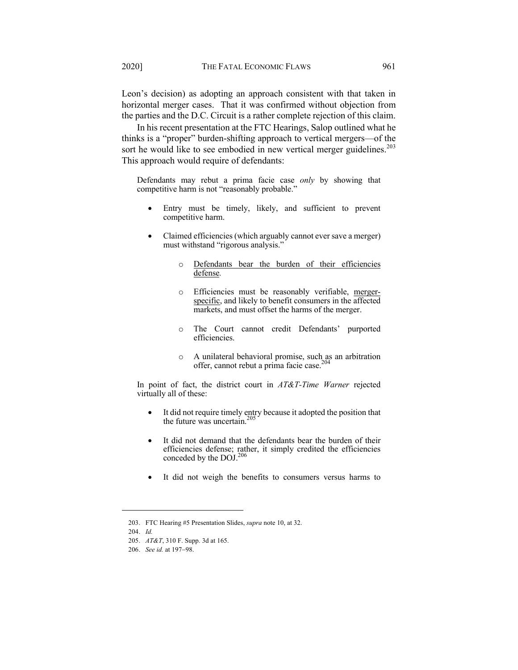Leon's decision) as adopting an approach consistent with that taken in horizontal merger cases. That it was confirmed without objection from the parties and the D.C. Circuit is a rather complete rejection of this claim.

In his recent presentation at the FTC Hearings, Salop outlined what he thinks is a "proper" burden-shifting approach to vertical mergers—of the sort he would like to see embodied in new vertical merger guidelines. $2^{03}$ This approach would require of defendants:

Defendants may rebut a prima facie case *only* by showing that competitive harm is not "reasonably probable."

- Entry must be timely, likely, and sufficient to prevent competitive harm.
- Claimed efficiencies (which arguably cannot ever save a merger) must withstand "rigorous analysis."
	- o Defendants bear the burden of their efficiencies defense*.*
	- o Efficiencies must be reasonably verifiable, mergerspecific, and likely to benefit consumers in the affected markets, and must offset the harms of the merger.
	- o The Court cannot credit Defendants' purported efficiencies.
	- o A unilateral behavioral promise, such as an arbitration offer, cannot rebut a prima facie case.<sup>204</sup>

In point of fact, the district court in *AT&T-Time Warner* rejected virtually all of these:

- It did not require timely entry because it adopted the position that the future was uncertain.<sup>205</sup>
- It did not demand that the defendants bear the burden of their efficiencies defense; rather, it simply credited the efficiencies conceded by the DOJ.<sup>206</sup>
- It did not weigh the benefits to consumers versus harms to

<sup>203.</sup> FTC Hearing #5 Presentation Slides, *supra* note 10, at 32.

<sup>204.</sup> *Id.*

<sup>205.</sup> *AT&T*, 310 F. Supp. 3d at 165.

<sup>206.</sup> *See id.* at 197-98.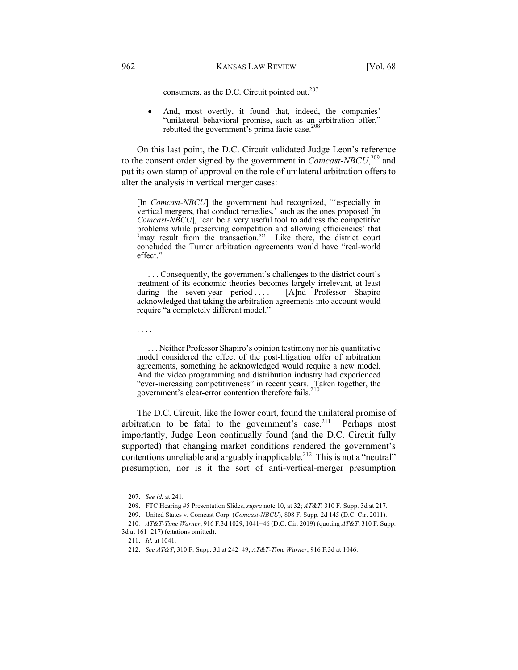consumers, as the D.C. Circuit pointed out. $207$ 

• And, most overtly, it found that, indeed, the companies' "unilateral behavioral promise, such as an arbitration offer," rebutted the government's prima facie case.<sup>208</sup>

On this last point, the D.C. Circuit validated Judge Leon's reference to the consent order signed by the government in *Comcast-NBCU*, <sup>209</sup> and put its own stamp of approval on the role of unilateral arbitration offers to alter the analysis in vertical merger cases:

[In *Comcast*-*NBCU*] the government had recognized, "'especially in vertical mergers, that conduct remedies,' such as the ones proposed [in *Comcast-NBCU*], 'can be a very useful tool to address the competitive problems while preserving competition and allowing efficiencies' that 'may result from the transaction.'" Like there, the district court concluded the Turner arbitration agreements would have "real-world effect."

. . . Consequently, the government's challenges to the district court's treatment of its economic theories becomes largely irrelevant, at least during the seven-year period .... [A]nd Professor Shapiro acknowledged that taking the arbitration agreements into account would require "a completely different model."

. . . .

. . . Neither Professor Shapiro's opinion testimony nor his quantitative model considered the effect of the post-litigation offer of arbitration agreements, something he acknowledged would require a new model. And the video programming and distribution industry had experienced "ever-increasing competitiveness" in recent years. Taken together, the government's clear-error contention therefore fails.<sup>210</sup>

The D.C. Circuit, like the lower court, found the unilateral promise of arbitration to be fatal to the government's case.<sup>211</sup> Perhaps most importantly, Judge Leon continually found (and the D.C. Circuit fully supported) that changing market conditions rendered the government's contentions unreliable and arguably inapplicable.<sup>212</sup> This is not a "neutral" presumption, nor is it the sort of anti-vertical-merger presumption

<sup>207.</sup> *See id.* at 241.

<sup>208.</sup> FTC Hearing #5 Presentation Slides, *supra* note 10, at 32; *AT&T*, 310 F. Supp. 3d at 217.

<sup>209.</sup> United States v. Comcast Corp. (*Comcast-NBCU*), 808 F. Supp. 2d 145 (D.C. Cir. 2011).

<sup>210</sup>*. AT&T-Time Warner*, 916 F.3d 1029, 1041-46 (D.C. Cir. 2019) (quoting *AT&T*, 310 F. Supp. 3d at 161-217) (citations omitted).

<sup>211.</sup> *Id.* at 1041.

<sup>212.</sup> *See AT&T*, 310 F. Supp. 3d at 242–49; *AT&T-Time Warner*, 916 F.3d at 1046.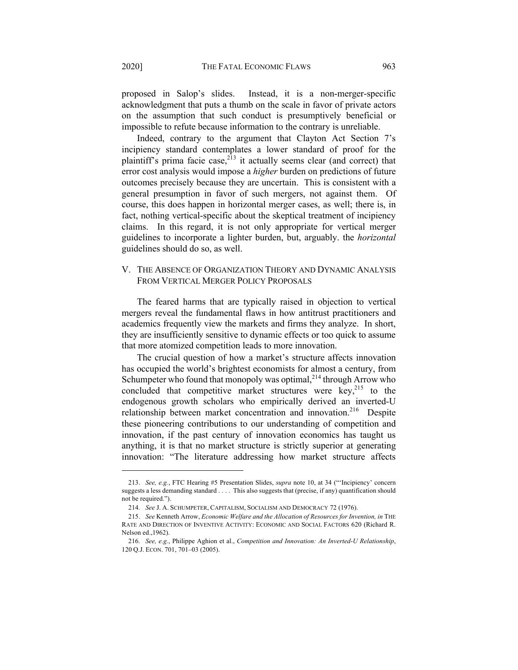proposed in Salop's slides. Instead, it is a non-merger-specific acknowledgment that puts a thumb on the scale in favor of private actors on the assumption that such conduct is presumptively beneficial or impossible to refute because information to the contrary is unreliable.

Indeed, contrary to the argument that Clayton Act Section 7's incipiency standard contemplates a lower standard of proof for the plaintiff's prima facie case, $2^{13}$  it actually seems clear (and correct) that error cost analysis would impose a *higher* burden on predictions of future outcomes precisely because they are uncertain. This is consistent with a general presumption in favor of such mergers, not against them. Of course, this does happen in horizontal merger cases, as well; there is, in fact, nothing vertical-specific about the skeptical treatment of incipiency claims. In this regard, it is not only appropriate for vertical merger guidelines to incorporate a lighter burden, but, arguably. the *horizontal* guidelines should do so, as well.

## V. THE ABSENCE OF ORGANIZATION THEORY AND DYNAMIC ANALYSIS FROM VERTICAL MERGER POLICY PROPOSALS

The feared harms that are typically raised in objection to vertical mergers reveal the fundamental flaws in how antitrust practitioners and academics frequently view the markets and firms they analyze. In short, they are insufficiently sensitive to dynamic effects or too quick to assume that more atomized competition leads to more innovation.

The crucial question of how a market's structure affects innovation has occupied the world's brightest economists for almost a century, from Schumpeter who found that monopoly was optimal,<sup>214</sup> through Arrow who concluded that competitive market structures were key, $215$  to the endogenous growth scholars who empirically derived an inverted-U relationship between market concentration and innovation.<sup>216</sup> Despite these pioneering contributions to our understanding of competition and innovation, if the past century of innovation economics has taught us anything, it is that no market structure is strictly superior at generating innovation: "The literature addressing how market structure affects

<sup>213.</sup> *See, e.g.*, FTC Hearing #5 Presentation Slides, *supra* note 10, at 34 ("'Incipiency' concern suggests a less demanding standard . . . . This also suggests that (precise, if any) quantification should not be required.").

<sup>214</sup>*. See* J. A. SCHUMPETER, CAPITALISM, SOCIALISM AND DEMOCRACY 72 (1976).

<sup>215.</sup> *See* Kenneth Arrow, *Economic Welfare and the Allocation of Resources for Invention, in* THE RATE AND DIRECTION OF INVENTIVE ACTIVITY: ECONOMIC AND SOCIAL FACTORS 620 (Richard R. Nelson ed.,1962).

<sup>216</sup>*. See, e.g.*, Philippe Aghion et al., *Competition and Innovation: An Inverted-U Relationship*, 120 Q.J. ECON. 701, 701–03 (2005).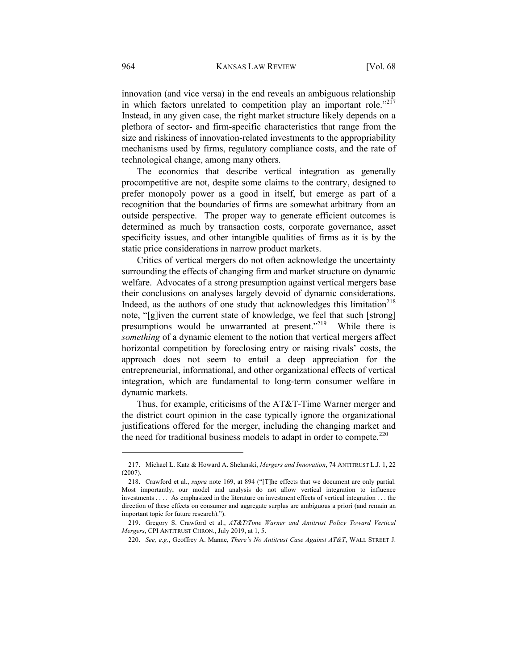innovation (and vice versa) in the end reveals an ambiguous relationship in which factors unrelated to competition play an important role." $2^{17}$ Instead, in any given case, the right market structure likely depends on a plethora of sector- and firm-specific characteristics that range from the size and riskiness of innovation-related investments to the appropriability mechanisms used by firms, regulatory compliance costs, and the rate of technological change, among many others.

The economics that describe vertical integration as generally procompetitive are not, despite some claims to the contrary, designed to prefer monopoly power as a good in itself, but emerge as part of a recognition that the boundaries of firms are somewhat arbitrary from an outside perspective. The proper way to generate efficient outcomes is determined as much by transaction costs, corporate governance, asset specificity issues, and other intangible qualities of firms as it is by the static price considerations in narrow product markets.

Critics of vertical mergers do not often acknowledge the uncertainty surrounding the effects of changing firm and market structure on dynamic welfare. Advocates of a strong presumption against vertical mergers base their conclusions on analyses largely devoid of dynamic considerations. Indeed, as the authors of one study that acknowledges this limitation<sup>218</sup> note, "[g]iven the current state of knowledge, we feel that such [strong] presumptions would be unwarranted at present."<sup>219</sup> While there is *something* of a dynamic element to the notion that vertical mergers affect horizontal competition by foreclosing entry or raising rivals' costs, the approach does not seem to entail a deep appreciation for the entrepreneurial, informational, and other organizational effects of vertical integration, which are fundamental to long-term consumer welfare in dynamic markets.

Thus, for example, criticisms of the AT&T-Time Warner merger and the district court opinion in the case typically ignore the organizational justifications offered for the merger, including the changing market and the need for traditional business models to adapt in order to compete.<sup>220</sup>

<sup>217.</sup> Michael L. Katz & Howard A. Shelanski, *Mergers and Innovation*, 74 ANTITRUST L.J. 1, 22 (2007).

<sup>218.</sup> Crawford et al., *supra* note 169, at 894 ("[T]he effects that we document are only partial. Most importantly, our model and analysis do not allow vertical integration to influence investments . . . . As emphasized in the literature on investment effects of vertical integration . . . the direction of these effects on consumer and aggregate surplus are ambiguous a priori (and remain an important topic for future research).").

<sup>219.</sup> Gregory S. Crawford et al., *AT&T/Time Warner and Antitrust Policy Toward Vertical Mergers*, CPI ANTITRUST CHRON., July 2019, at 1, 5.

<sup>220.</sup> *See, e.g.*, Geoffrey A. Manne, *There's No Antitrust Case Against AT&T*, WALL STREET J.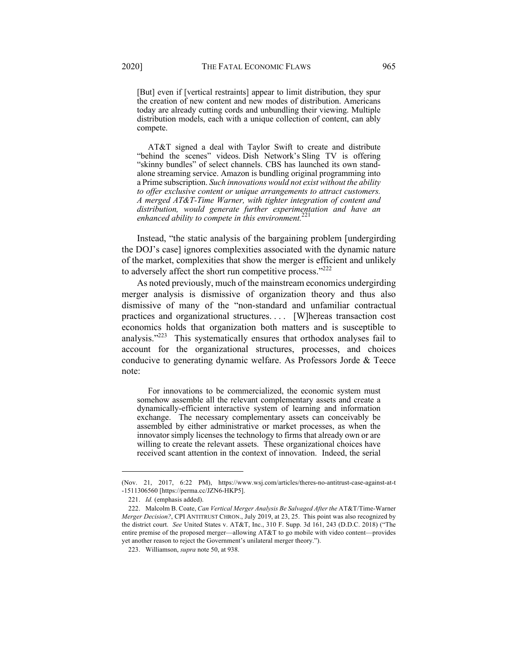[But] even if [vertical restraints] appear to limit distribution, they spur the creation of new content and new modes of distribution. Americans today are already cutting cords and unbundling their viewing. Multiple distribution models, each with a unique collection of content, can ably compete.

AT&T signed a deal with Taylor Swift to create and distribute "behind the scenes" videos. Dish Network's Sling TV is offering "skinny bundles" of select channels. CBS has launched its own standalone streaming service. Amazon is bundling original programming into a Prime subscription. *Such innovations would not exist without the ability to offer exclusive content or unique arrangements to attract customers. A merged AT&T-Time Warner, with tighter integration of content and distribution, would generate further experimentation and have an enhanced ability to compete in this environment.*<sup>221</sup>

Instead, "the static analysis of the bargaining problem [undergirding the DOJ's case] ignores complexities associated with the dynamic nature of the market, complexities that show the merger is efficient and unlikely to adversely affect the short run competitive process."<sup>222</sup>

As noted previously, much of the mainstream economics undergirding merger analysis is dismissive of organization theory and thus also dismissive of many of the "non‐standard and unfamiliar contractual practices and organizational structures. . . . [W]hereas transaction cost economics holds that organization both matters and is susceptible to analysis."223 This systematically ensures that orthodox analyses fail to account for the organizational structures, processes, and choices conducive to generating dynamic welfare. As Professors Jorde & Teece note:

For innovations to be commercialized, the economic system must somehow assemble all the relevant complementary assets and create a dynamically-efficient interactive system of learning and information exchange. The necessary complementary assets can conceivably be assembled by either administrative or market processes, as when the innovator simply licenses the technology to firms that already own or are willing to create the relevant assets. These organizational choices have received scant attention in the context of innovation. Indeed, the serial

<sup>(</sup>Nov. 21, 2017, 6:22 PM), https://www.wsj.com/articles/theres-no-antitrust-case-against-at-t -1511306560 [https://perma.cc/JZN6-HKP5].

<sup>221.</sup> *Id.* (emphasis added).

<sup>222.</sup> Malcolm B. Coate, *Can Vertical Merger Analysis Be Salvaged After the* AT&T/Time-Warner *Merger Decision?*, CPI ANTITRUST CHRON., July 2019, at 23, 25. This point was also recognized by the district court. *See* United States v. AT&T, Inc., 310 F. Supp. 3d 161, 243 (D.D.C. 2018) ("The entire premise of the proposed merger—allowing AT&T to go mobile with video content—provides yet another reason to reject the Government's unilateral merger theory.").

<sup>223.</sup> Williamson, *supra* note 50, at 938.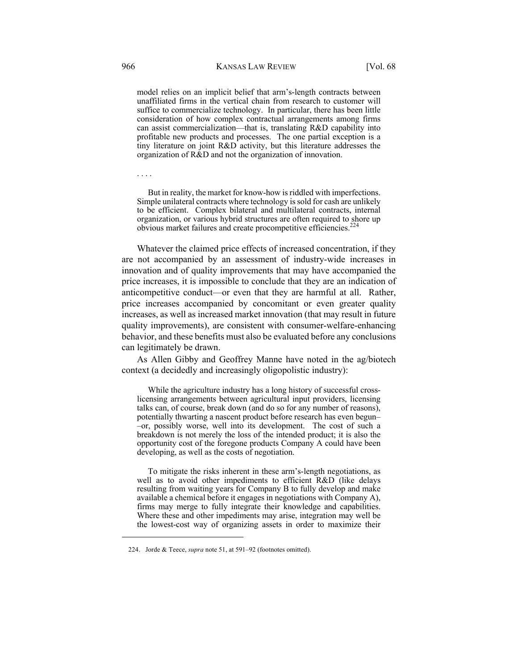model relies on an implicit belief that arm's-length contracts between unaffiliated firms in the vertical chain from research to customer will suffice to commercialize technology. In particular, there has been little consideration of how complex contractual arrangements among firms can assist commercialization—that is, translating R&D capability into profitable new products and processes. The one partial exception is a tiny literature on joint R&D activity, but this literature addresses the organization of R&D and not the organization of innovation.

. . . .

But in reality, the market for know-how is riddled with imperfections. Simple unilateral contracts where technology is sold for cash are unlikely to be efficient. Complex bilateral and multilateral contracts, internal organization, or various hybrid structures are often required to shore up obvious market failures and create procompetitive efficiencies.<sup>2</sup>

Whatever the claimed price effects of increased concentration, if they are not accompanied by an assessment of industry-wide increases in innovation and of quality improvements that may have accompanied the price increases, it is impossible to conclude that they are an indication of anticompetitive conduct—or even that they are harmful at all. Rather, price increases accompanied by concomitant or even greater quality increases, as well as increased market innovation (that may result in future quality improvements), are consistent with consumer-welfare-enhancing behavior, and these benefits must also be evaluated before any conclusions can legitimately be drawn.

As Allen Gibby and Geoffrey Manne have noted in the ag/biotech context (a decidedly and increasingly oligopolistic industry):

While the agriculture industry has a long history of successful crosslicensing arrangements between agricultural input providers, licensing talks can, of course, break down (and do so for any number of reasons), potentially thwarting a nascent product before research has even begun– –or, possibly worse, well into its development. The cost of such a breakdown is not merely the loss of the intended product; it is also the opportunity cost of the foregone products Company A could have been developing, as well as the costs of negotiation.

To mitigate the risks inherent in these arm's-length negotiations, as well as to avoid other impediments to efficient R&D (like delays resulting from waiting years for Company B to fully develop and make available a chemical before it engages in negotiations with Company A), firms may merge to fully integrate their knowledge and capabilities. Where these and other impediments may arise, integration may well be the lowest-cost way of organizing assets in order to maximize their

<sup>224.</sup> Jorde & Teece, *supra* note 51, at 591–92 (footnotes omitted).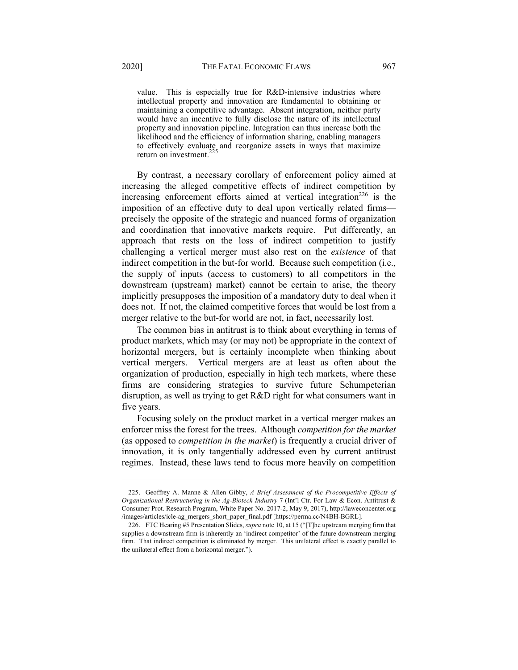value. This is especially true for R&D-intensive industries where intellectual property and innovation are fundamental to obtaining or maintaining a competitive advantage. Absent integration, neither party would have an incentive to fully disclose the nature of its intellectual property and innovation pipeline. Integration can thus increase both the likelihood and the efficiency of information sharing, enabling managers to effectively evaluate and reorganize assets in ways that maximize return on investment. $^{22}$ 

By contrast, a necessary corollary of enforcement policy aimed at increasing the alleged competitive effects of indirect competition by increasing enforcement efforts aimed at vertical integration<sup>226</sup> is the imposition of an effective duty to deal upon vertically related firms precisely the opposite of the strategic and nuanced forms of organization and coordination that innovative markets require. Put differently, an approach that rests on the loss of indirect competition to justify challenging a vertical merger must also rest on the *existence* of that indirect competition in the but-for world. Because such competition (i.e., the supply of inputs (access to customers) to all competitors in the downstream (upstream) market) cannot be certain to arise, the theory implicitly presupposes the imposition of a mandatory duty to deal when it does not. If not, the claimed competitive forces that would be lost from a merger relative to the but-for world are not, in fact, necessarily lost.

The common bias in antitrust is to think about everything in terms of product markets, which may (or may not) be appropriate in the context of horizontal mergers, but is certainly incomplete when thinking about vertical mergers. Vertical mergers are at least as often about the organization of production, especially in high tech markets, where these firms are considering strategies to survive future Schumpeterian disruption, as well as trying to get R&D right for what consumers want in five years.

Focusing solely on the product market in a vertical merger makes an enforcer miss the forest for the trees. Although *competition for the market* (as opposed to *competition in the market*) is frequently a crucial driver of innovation, it is only tangentially addressed even by current antitrust regimes. Instead, these laws tend to focus more heavily on competition

<sup>225.</sup> Geoffrey A. Manne & Allen Gibby, *A Brief Assessment of the Procompetitive Effects of Organizational Restructuring in the Ag-Biotech Industry* 7 (Int'l Ctr. For Law & Econ. Antitrust & Consumer Prot. Research Program, White Paper No. 2017-2, May 9, 2017), http://laweconcenter.org /images/articles/icle-ag\_mergers\_short\_paper\_final.pdf [https://perma.cc/N4BH-BGRL].

<sup>226.</sup> FTC Hearing #5 Presentation Slides, *supra* note 10, at 15 ("[T]he upstream merging firm that supplies a downstream firm is inherently an 'indirect competitor' of the future downstream merging firm. That indirect competition is eliminated by merger. This unilateral effect is exactly parallel to the unilateral effect from a horizontal merger.").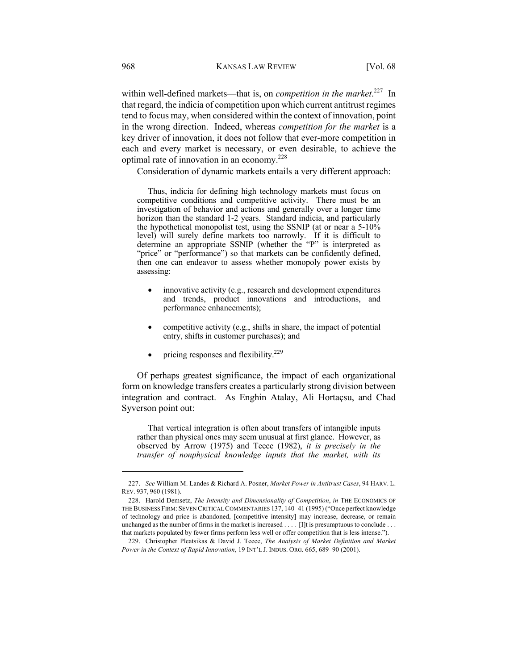within well-defined markets—that is, on *competition in the market*.<sup>227</sup> In that regard, the indicia of competition upon which current antitrust regimes tend to focus may, when considered within the context of innovation, point in the wrong direction. Indeed, whereas *competition for the market* is a key driver of innovation, it does not follow that ever-more competition in each and every market is necessary, or even desirable, to achieve the optimal rate of innovation in an economy.228

Consideration of dynamic markets entails a very different approach:

Thus, indicia for defining high technology markets must focus on competitive conditions and competitive activity. There must be an investigation of behavior and actions and generally over a longer time horizon than the standard 1-2 years. Standard indicia, and particularly the hypothetical monopolist test, using the SSNIP (at or near a 5-10% level) will surely define markets too narrowly. If it is difficult to determine an appropriate SSNIP (whether the "P" is interpreted as "price" or "performance") so that markets can be confidently defined, then one can endeavor to assess whether monopoly power exists by assessing:

- innovative activity (e.g., research and development expenditures and trends, product innovations and introductions, and performance enhancements);
- competitive activity (e.g., shifts in share, the impact of potential entry, shifts in customer purchases); and
- pricing responses and flexibility. $229$

Of perhaps greatest significance, the impact of each organizational form on knowledge transfers creates a particularly strong division between integration and contract. As Enghin Atalay, Ali Hortaçsu, and Chad Syverson point out:

That vertical integration is often about transfers of intangible inputs rather than physical ones may seem unusual at first glance. However, as observed by Arrow (1975) and Teece (1982), *it is precisely in the transfer of nonphysical knowledge inputs that the market, with its* 

<sup>227.</sup> *See* William M. Landes & Richard A. Posner, *Market Power in Antitrust Cases*, 94 HARV. L. REV. 937, 960 (1981).

<sup>228.</sup> Harold Demsetz, *The Intensity and Dimensionality of Competition*, *in* THE ECONOMICS OF THE BUSINESS FIRM: SEVEN CRITICAL COMMENTARIES 137, 140–41 (1995) ("Once perfect knowledge of technology and price is abandoned, [competitive intensity] may increase, decrease, or remain unchanged as the number of firms in the market is increased . . . . [I]t is presumptuous to conclude . . . that markets populated by fewer firms perform less well or offer competition that is less intense.").

<sup>229.</sup> Christopher Pleatsikas & David J. Teece, *The Analysis of Market Definition and Market Power in the Context of Rapid Innovation*, 19 INT'L J. INDUS. ORG. 665, 689–90 (2001).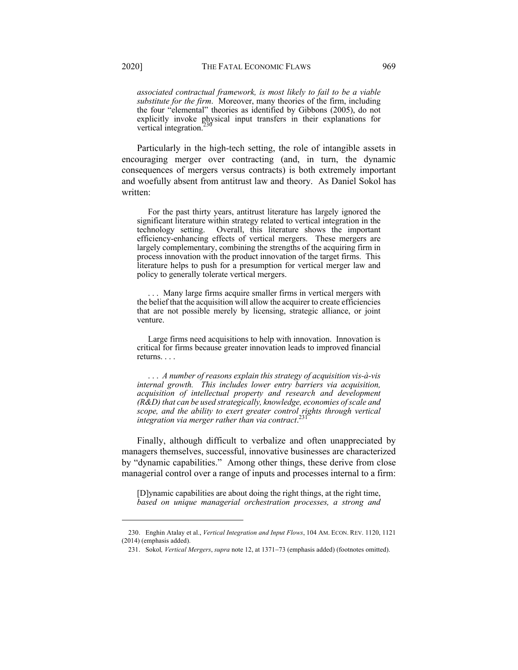*associated contractual framework, is most likely to fail to be a viable substitute for the firm*. Moreover, many theories of the firm, including the four "elemental" theories as identified by Gibbons (2005), do not explicitly invoke physical input transfers in their explanations for vertical integration.<sup>230</sup>

Particularly in the high-tech setting, the role of intangible assets in encouraging merger over contracting (and, in turn, the dynamic consequences of mergers versus contracts) is both extremely important and woefully absent from antitrust law and theory. As Daniel Sokol has written:

For the past thirty years, antitrust literature has largely ignored the significant literature within strategy related to vertical integration in the technology setting. Overall, this literature shows the important efficiency-enhancing effects of vertical mergers. These mergers are largely complementary, combining the strengths of the acquiring firm in process innovation with the product innovation of the target firms. This literature helps to push for a presumption for vertical merger law and policy to generally tolerate vertical mergers.

Many large firms acquire smaller firms in vertical mergers with the belief that the acquisition will allow the acquirer to create efficiencies that are not possible merely by licensing, strategic alliance, or joint venture.

Large firms need acquisitions to help with innovation. Innovation is critical for firms because greater innovation leads to improved financial returns. . . .

. . . *A number of reasons explain this strategy of acquisition vis-à-vis internal growth. This includes lower entry barriers via acquisition, acquisition of intellectual property and research and development (R&D) that can be used strategically, knowledge, economies of scale and*  scope, and the ability to exert greater control rights through vertical<br>integration via manage uather than via contract<sup>231</sup> *integration via merger rather than via contract*.

Finally, although difficult to verbalize and often unappreciated by managers themselves, successful, innovative businesses are characterized by "dynamic capabilities." Among other things, these derive from close managerial control over a range of inputs and processes internal to a firm:

[D]ynamic capabilities are about doing the right things, at the right time, *based on unique managerial orchestration processes, a strong and* 

<sup>230.</sup> Enghin Atalay et al., *Vertical Integration and Input Flows*, 104 AM. ECON. REV. 1120, 1121 (2014) (emphasis added).

<sup>231.</sup> Sokol*, Vertical Mergers*, *supra* note 12, at 1371-73 (emphasis added) (footnotes omitted).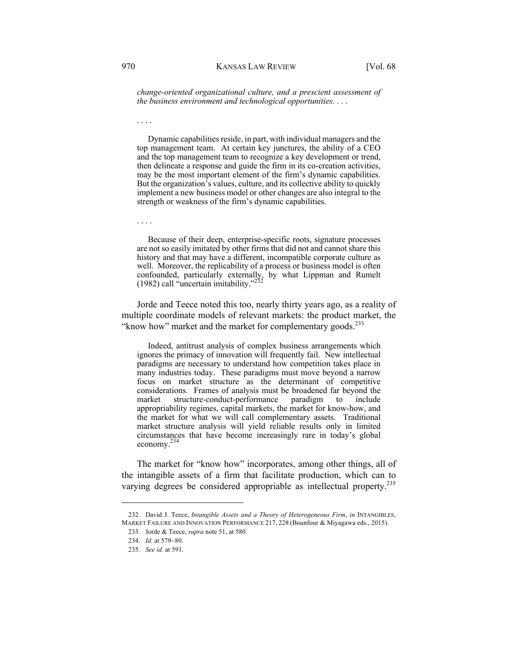*change-oriented organizational culture, and a prescient assessment of the business environment and technological opportunities*. . . .

Dynamic capabilities reside, in part, with individual managers and the top management team. At certain key junctures, the ability of a CEO and the top management team to recognize a key development or trend, then delineate a response and guide the firm in its co-creation activities, may be the most important element of the firm's dynamic capabilities. But the organization's values, culture, and its collective ability to quickly implement a new business model or other changes are also integral to the strength or weakness of the firm's dynamic capabilities.

Because of their deep, enterprise-specific roots, signature processes are not so easily imitated by other firms that did not and cannot share this history and that may have a different, incompatible corporate culture as well. Moreover, the replicability of a process or business model is often confounded, particularly externally, by what Lippman and Rumelt (1982) call "uncertain imitability." $^{23}$ 

Jorde and Teece noted this too, nearly thirty years ago, as a reality of multiple coordinate models of relevant markets: the product market, the "know how" market and the market for complementary goods.<sup>233</sup>

Indeed, antitrust analysis of complex business arrangements which ignores the primacy of innovation will frequently fail. New intellectual paradigms are necessary to understand how competition takes place in many industries today. These paradigms must move beyond a narrow focus on market structure as the determinant of competitive considerations. Frames of analysis must be broadened far beyond the market structure-conduct-performance paradigm to include appropriability regimes, capital markets, the market for know-how, and the market for what we will call complementary assets. Traditional market structure analysis will yield reliable results only in limited circumstances that have become increasingly rare in today's global economy.234

The market for "know how" incorporates, among other things, all of the intangible assets of a firm that facilitate production, which can to varying degrees be considered appropriable as intellectual property.<sup>235</sup>

. . . .

. . . .

<sup>232.</sup> David J. Teece, *Intangible Assets and a Theory of Heterogeneous Firm*, *in* INTANGIBLES, MARKET FAILURE AND INNOVATION PERFORMANCE 217, 228 (Bounfour & Miyagawa eds., 2015).

<sup>233.</sup> Jorde & Teece, *supra* note 51, at 580.

<sup>234.</sup> *Id.* at 579-80.

<sup>235</sup>*. See id.* at 591.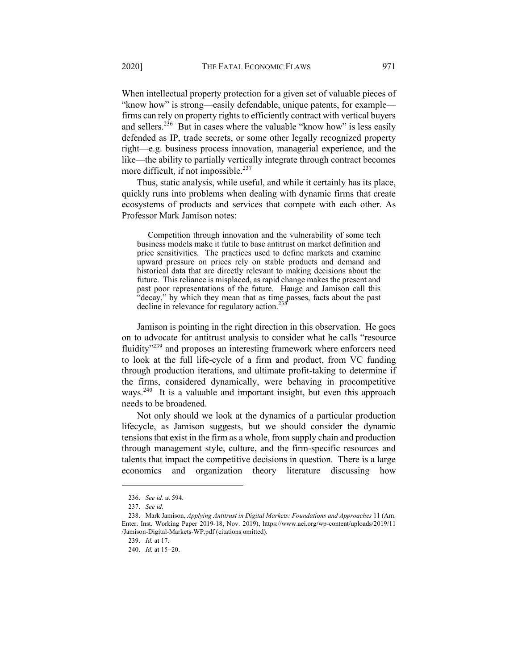When intellectual property protection for a given set of valuable pieces of "know how" is strong—easily defendable, unique patents, for example firms can rely on property rights to efficiently contract with vertical buyers and sellers.<sup>236</sup> But in cases where the valuable "know how" is less easily defended as IP, trade secrets, or some other legally recognized property right—e.g. business process innovation, managerial experience, and the like—the ability to partially vertically integrate through contract becomes more difficult, if not impossible. $^{237}$ 

Thus, static analysis, while useful, and while it certainly has its place, quickly runs into problems when dealing with dynamic firms that create ecosystems of products and services that compete with each other. As Professor Mark Jamison notes:

Competition through innovation and the vulnerability of some tech business models make it futile to base antitrust on market definition and price sensitivities. The practices used to define markets and examine upward pressure on prices rely on stable products and demand and historical data that are directly relevant to making decisions about the future. This reliance is misplaced, as rapid change makes the present and past poor representations of the future. Hauge and Jamison call this "decay," by which they mean that as time passes, facts about the past decline in relevance for regulatory action.<sup>23</sup>

Jamison is pointing in the right direction in this observation. He goes on to advocate for antitrust analysis to consider what he calls "resource fluidity"<sup>239</sup> and proposes an interesting framework where enforcers need to look at the full life-cycle of a firm and product, from VC funding through production iterations, and ultimate profit-taking to determine if the firms, considered dynamically, were behaving in procompetitive ways.<sup>240</sup> It is a valuable and important insight, but even this approach needs to be broadened.

Not only should we look at the dynamics of a particular production lifecycle, as Jamison suggests, but we should consider the dynamic tensions that exist in the firm as a whole, from supply chain and production through management style, culture, and the firm-specific resources and talents that impact the competitive decisions in question. There is a large economics and organization theory literature discussing how

<sup>236.</sup> *See id.* at 594.

<sup>237.</sup> *See id.*

<sup>238.</sup> Mark Jamison, *Applying Antitrust in Digital Markets: Foundations and Approaches* 11 (Am. Enter. Inst. Working Paper 2019-18, Nov. 2019), https://www.aei.org/wp-content/uploads/2019/11 /Jamison-Digital-Markets-WP.pdf (citations omitted).

<sup>239.</sup> *Id.* at 17.

<sup>240.</sup> *Id.* at 15-20.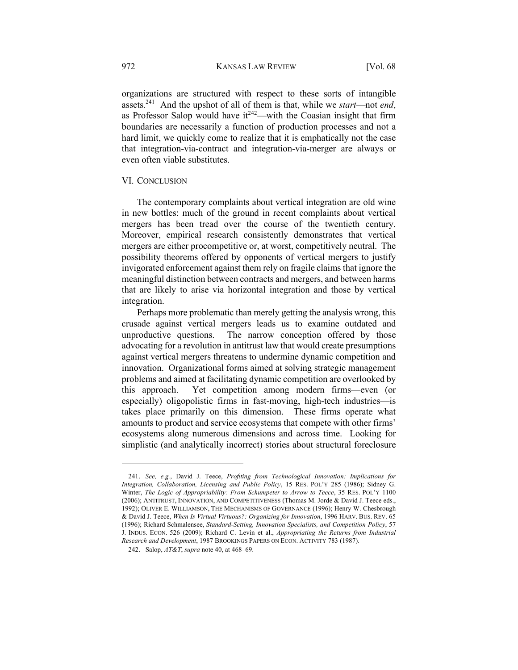organizations are structured with respect to these sorts of intangible assets.241 And the upshot of all of them is that, while we *start*—not *end*, as Professor Salop would have  $it^{242}$ —with the Coasian insight that firm boundaries are necessarily a function of production processes and not a hard limit, we quickly come to realize that it is emphatically not the case that integration-via-contract and integration-via-merger are always or even often viable substitutes.

## VI. CONCLUSION

The contemporary complaints about vertical integration are old wine in new bottles: much of the ground in recent complaints about vertical mergers has been tread over the course of the twentieth century. Moreover, empirical research consistently demonstrates that vertical mergers are either procompetitive or, at worst, competitively neutral. The possibility theorems offered by opponents of vertical mergers to justify invigorated enforcement against them rely on fragile claims that ignore the meaningful distinction between contracts and mergers, and between harms that are likely to arise via horizontal integration and those by vertical integration.

Perhaps more problematic than merely getting the analysis wrong, this crusade against vertical mergers leads us to examine outdated and unproductive questions. The narrow conception offered by those advocating for a revolution in antitrust law that would create presumptions against vertical mergers threatens to undermine dynamic competition and innovation. Organizational forms aimed at solving strategic management problems and aimed at facilitating dynamic competition are overlooked by this approach. Yet competition among modern firms—even (or especially) oligopolistic firms in fast-moving, high-tech industries—is takes place primarily on this dimension. These firms operate what amounts to product and service ecosystems that compete with other firms' ecosystems along numerous dimensions and across time. Looking for simplistic (and analytically incorrect) stories about structural foreclosure

<sup>241.</sup> *See, e.g.*, David J. Teece, *Profiting from Technological Innovation: Implications for Integration, Collaboration, Licensing and Public Policy*, 15 RES. POL'Y 285 (1986); Sidney G. Winter, *The Logic of Appropriability: From Schumpeter to Arrow to Teece*, 35 RES. POL'Y 1100 (2006); ANTITRUST, INNOVATION, AND COMPETITIVENESS (Thomas M. Jorde & David J. Teece eds., 1992); OLIVER E. WILLIAMSON, THE MECHANISMS OF GOVERNANCE (1996); Henry W. Chesbrough & David J. Teece, *When Is Virtual Virtuous?: Organizing for Innovation*, 1996 HARV. BUS. REV. 65 (1996); Richard Schmalensee, *Standard-Setting, Innovation Specialists, and Competition Policy*, 57 J. INDUS. ECON. 526 (2009); Richard C. Levin et al., *Appropriating the Returns from Industrial Research and Development*, 1987 BROOKINGS PAPERS ON ECON. ACTIVITY 783 (1987).

<sup>242.</sup> Salop, *AT&T*, *supra* note 40, at 468–69.